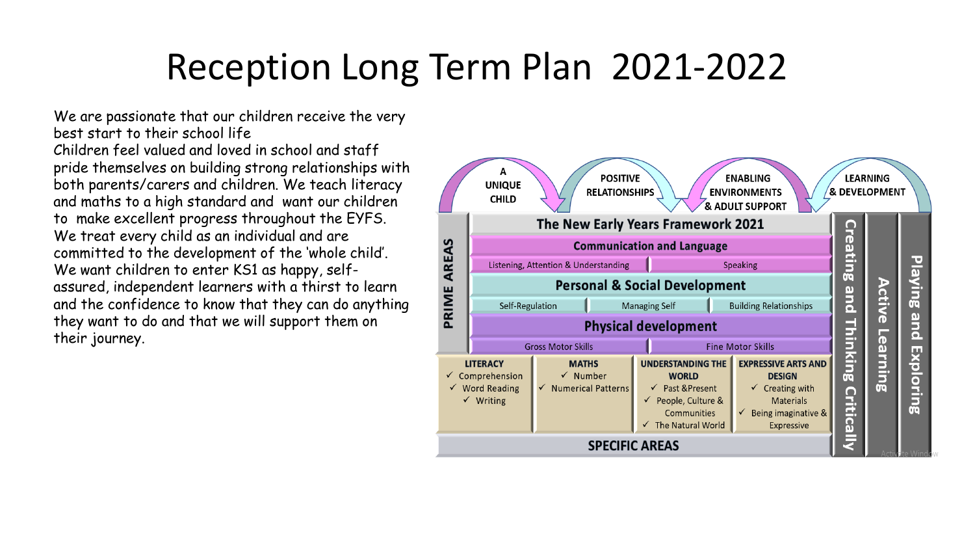We are passionate that our children receive the very best start to their school life Children feel valued and loved in school and staff pride themselves on building strong relationships with both parents/carers and children. We teach literacy and maths to a high standard and want our children to make excellent progress throughout the EYFS. We treat every child as an individual and are committed to the development of the 'whole child'. We want children to enter KS1 as happy, selfassured, independent learners with a thirst to learn and the confidence to know that they can do anything they want to do and that we will support them on their journey.

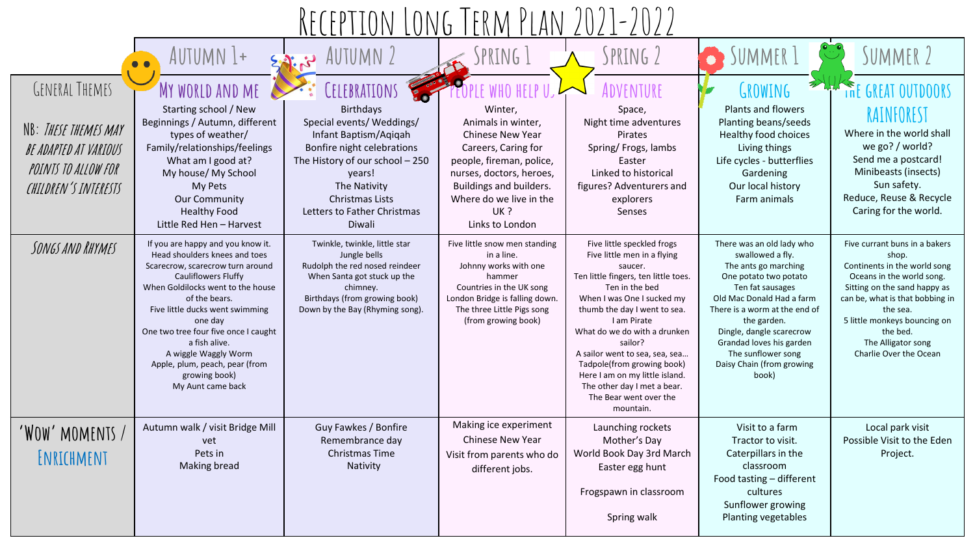|                                                                                                                | AUTUMN 1+                                                                                                                                                                                                                                                                                                                                                                                         | <b>AUTUMN 2</b>                                                                                                                                                                                                                                      | PRING                                                                                                                                                                                                            | SPRING 2                                                                                                                                                                                                                                                                                                                                                                                                                       | JUMMER<br>$\bullet$                                                                                                                                                                                                                                                                                                 | SUMMER <sub>2</sub>                                                                                                                                                                                                                                                            |  |
|----------------------------------------------------------------------------------------------------------------|---------------------------------------------------------------------------------------------------------------------------------------------------------------------------------------------------------------------------------------------------------------------------------------------------------------------------------------------------------------------------------------------------|------------------------------------------------------------------------------------------------------------------------------------------------------------------------------------------------------------------------------------------------------|------------------------------------------------------------------------------------------------------------------------------------------------------------------------------------------------------------------|--------------------------------------------------------------------------------------------------------------------------------------------------------------------------------------------------------------------------------------------------------------------------------------------------------------------------------------------------------------------------------------------------------------------------------|---------------------------------------------------------------------------------------------------------------------------------------------------------------------------------------------------------------------------------------------------------------------------------------------------------------------|--------------------------------------------------------------------------------------------------------------------------------------------------------------------------------------------------------------------------------------------------------------------------------|--|
| GENERAL THEMES<br>NB: THESE THEMES MAY<br>BE ADAPTED AT VARIOUS<br>POINTS TO ALLOW FOR<br>CHILDREN'S INTERESTS | MY WORLD AND ME<br>Starting school / New<br>Beginnings / Autumn, different<br>types of weather/<br>Family/relationships/feelings<br>What am I good at?<br>My house/ My School<br>My Pets<br><b>Our Community</b><br><b>Healthy Food</b><br>Little Red Hen - Harvest                                                                                                                               | CELEBRATIONS<br><b>Birthdays</b><br>Special events/ Weddings/<br>Infant Baptism/Aqiqah<br>Bonfire night celebrations<br>The History of our school - 250<br>years!<br>The Nativity<br><b>Christmas Lists</b><br>Letters to Father Christmas<br>Diwali | Winter,<br>Animals in winter,<br>Chinese New Year<br>Careers, Caring for<br>people, fireman, police,<br>nurses, doctors, heroes,<br>Buildings and builders.<br>Where do we live in the<br>UK?<br>Links to London | :NTURE<br>Space,<br>Night time adventures<br>Pirates<br>Spring/Frogs, lambs<br>Easter<br>Linked to historical<br>figures? Adventurers and<br>explorers<br>Senses                                                                                                                                                                                                                                                               | <b>GROWING</b><br>Plants and flowers<br>Planting beans/seeds<br>Healthy food choices<br>Living things<br>Life cycles - butterflies<br>Gardening<br>Our local history<br>Farm animals                                                                                                                                | GREAT<br>I N<br>RAINFOREST<br>Where in the world shall<br>we go? / world?<br>Send me a postcard!<br>Minibeasts (insects)<br>Sun safety.<br>Reduce, Reuse & Recycle<br>Caring for the world.                                                                                    |  |
| SONGS AND RHYMES                                                                                               | If you are happy and you know it.<br>Head shoulders knees and toes<br>Scarecrow, scarecrow turn around<br><b>Cauliflowers Fluffy</b><br>When Goldilocks went to the house<br>of the bears.<br>Five little ducks went swimming<br>one day<br>One two tree four five once I caught<br>a fish alive.<br>A wiggle Waggly Worm<br>Apple, plum, peach, pear (from<br>growing book)<br>My Aunt came back | Twinkle, twinkle, little star<br>Jungle bells<br>Rudolph the red nosed reindeer<br>When Santa got stuck up the<br>chimney.<br>Birthdays (from growing book)<br>Down by the Bay (Rhyming song).                                                       | Five little snow men standing<br>in a line.<br>Johnny works with one<br>hammer<br>Countries in the UK song<br>London Bridge is falling down.<br>The three Little Pigs song<br>(from growing book)                | Five little speckled frogs<br>Five little men in a flying<br>saucer.<br>Ten little fingers, ten little toes.<br>Ten in the bed<br>When I was One I sucked my<br>thumb the day I went to sea.<br>I am Pirate<br>What do we do with a drunken<br>sailor?<br>A sailor went to sea, sea, sea<br>Tadpole(from growing book)<br>Here I am on my little island.<br>The other day I met a bear.<br>The Bear went over the<br>mountain. | There was an old lady who<br>swallowed a fly.<br>The ants go marching<br>One potato two potato<br>Ten fat sausages<br>Old Mac Donald Had a farm<br>There is a worm at the end of<br>the garden.<br>Dingle, dangle scarecrow<br>Grandad loves his garden<br>The sunflower song<br>Daisy Chain (from growing<br>book) | Five currant buns in a bakers<br>shop.<br>Continents in the world song<br>Oceans in the world song.<br>Sitting on the sand happy as<br>can be, what is that bobbing in<br>the sea.<br>5 little monkeys bouncing on<br>the bed.<br>The Alligator song<br>Charlie Over the Ocean |  |
| 'WOW' MOMENTS <i>i</i><br>ENRICHMENT                                                                           | Autumn walk / visit Bridge Mill<br>vet<br>Pets in<br>Making bread                                                                                                                                                                                                                                                                                                                                 | Guy Fawkes / Bonfire<br>Remembrance day<br><b>Christmas Time</b><br>Nativity                                                                                                                                                                         | Making ice experiment<br><b>Chinese New Year</b><br>Visit from parents who do<br>different jobs.                                                                                                                 | Launching rockets<br>Mother's Day<br>World Book Day 3rd March<br>Easter egg hunt<br>Frogspawn in classroom<br>Spring walk                                                                                                                                                                                                                                                                                                      | Visit to a farm<br>Tractor to visit.<br>Caterpillars in the<br>classroom<br>Food tasting - different<br>cultures<br>Sunflower growing<br>Planting vegetables                                                                                                                                                        | Local park visit<br>Possible Visit to the Eden<br>Project.                                                                                                                                                                                                                     |  |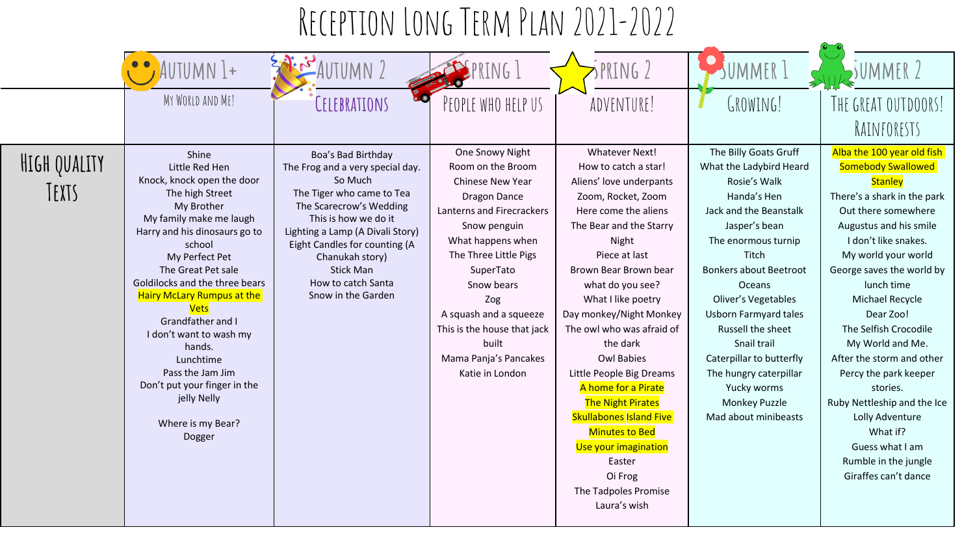|                       | AUTUMN I+                                                                                                                                                                                                                                                                                                                                                                                                                                                           | NUTUMN )                                                                                                                                                                                                                                                                                                  | PRING !                                                                                                                                                                                                                                                                                                             | SPRING 2                                                                                                                                                                                                                                                                                                                                                                                                                                                                                                                                                        | SUMMER                                                                                                                                                                                                                                                                                                                                                                                                                | SUMMER                                                                                                                                                                                                                                                                                                                                                                                                                                                                                                                              |
|-----------------------|---------------------------------------------------------------------------------------------------------------------------------------------------------------------------------------------------------------------------------------------------------------------------------------------------------------------------------------------------------------------------------------------------------------------------------------------------------------------|-----------------------------------------------------------------------------------------------------------------------------------------------------------------------------------------------------------------------------------------------------------------------------------------------------------|---------------------------------------------------------------------------------------------------------------------------------------------------------------------------------------------------------------------------------------------------------------------------------------------------------------------|-----------------------------------------------------------------------------------------------------------------------------------------------------------------------------------------------------------------------------------------------------------------------------------------------------------------------------------------------------------------------------------------------------------------------------------------------------------------------------------------------------------------------------------------------------------------|-----------------------------------------------------------------------------------------------------------------------------------------------------------------------------------------------------------------------------------------------------------------------------------------------------------------------------------------------------------------------------------------------------------------------|-------------------------------------------------------------------------------------------------------------------------------------------------------------------------------------------------------------------------------------------------------------------------------------------------------------------------------------------------------------------------------------------------------------------------------------------------------------------------------------------------------------------------------------|
|                       | MY WORLD AND ME!                                                                                                                                                                                                                                                                                                                                                                                                                                                    | CELEBRATIONS                                                                                                                                                                                                                                                                                              | PEOPLE WHO HELP US                                                                                                                                                                                                                                                                                                  | ADVENTURE!                                                                                                                                                                                                                                                                                                                                                                                                                                                                                                                                                      | GROWING!                                                                                                                                                                                                                                                                                                                                                                                                              | THE GREAT OUTDOORS!<br>RAINFORESTS                                                                                                                                                                                                                                                                                                                                                                                                                                                                                                  |
| HIGH QUALITY<br>TEXTS | Shine<br>Little Red Hen<br>Knock, knock open the door<br>The high Street<br>My Brother<br>My family make me laugh<br>Harry and his dinosaurs go to<br>school<br>My Perfect Pet<br>The Great Pet sale<br>Goldilocks and the three bears<br><b>Hairy McLary Rumpus at the</b><br><b>Vets</b><br>Grandfather and I<br>I don't want to wash my<br>hands.<br>Lunchtime<br>Pass the Jam Jim<br>Don't put your finger in the<br>jelly Nelly<br>Where is my Bear?<br>Dogger | Boa's Bad Birthday<br>The Frog and a very special day.<br>So Much<br>The Tiger who came to Tea<br>The Scarecrow's Wedding<br>This is how we do it<br>Lighting a Lamp (A Divali Story)<br>Eight Candles for counting (A<br>Chanukah story)<br><b>Stick Man</b><br>How to catch Santa<br>Snow in the Garden | One Snowy Night<br>Room on the Broom<br>Chinese New Year<br>Dragon Dance<br>Lanterns and Firecrackers<br>Snow penguin<br>What happens when<br>The Three Little Pigs<br>SuperTato<br>Snow bears<br>Zog<br>A squash and a squeeze<br>This is the house that jack<br>built<br>Mama Panja's Pancakes<br>Katie in London | Whatever Next!<br>How to catch a star!<br>Aliens' love underpants<br>Zoom, Rocket, Zoom<br>Here come the aliens<br>The Bear and the Starry<br>Night<br>Piece at last<br>Brown Bear Brown bear<br>what do you see?<br>What I like poetry<br>Day monkey/Night Monkey<br>The owl who was afraid of<br>the dark<br><b>Owl Babies</b><br>Little People Big Dreams<br>A home for a Pirate<br><b>The Night Pirates</b><br><b>Skullabones Island Five</b><br><b>Minutes to Bed</b><br>Use your imagination<br>Easter<br>Oi Frog<br>The Tadpoles Promise<br>Laura's wish | The Billy Goats Gruff<br>What the Ladybird Heard<br>Rosie's Walk<br>Handa's Hen<br>Jack and the Beanstalk<br>Jasper's bean<br>The enormous turnip<br>Titch<br><b>Bonkers about Beetroot</b><br><b>Oceans</b><br>Oliver's Vegetables<br><b>Usborn Farmyard tales</b><br>Russell the sheet<br>Snail trail<br>Caterpillar to butterfly<br>The hungry caterpillar<br>Yucky worms<br>Monkey Puzzle<br>Mad about minibeasts | Alba the 100 year old fish<br><b>Somebody Swallowed</b><br><b>Stanley</b><br>There's a shark in the park<br>Out there somewhere<br>Augustus and his smile<br>I don't like snakes.<br>My world your world<br>George saves the world by<br>lunch time<br>Michael Recycle<br>Dear Zoo!<br>The Selfish Crocodile<br>My World and Me.<br>After the storm and other<br>Percy the park keeper<br>stories.<br>Ruby Nettleship and the Ice<br>Lolly Adventure<br>What if?<br>Guess what I am<br>Rumble in the jungle<br>Giraffes can't dance |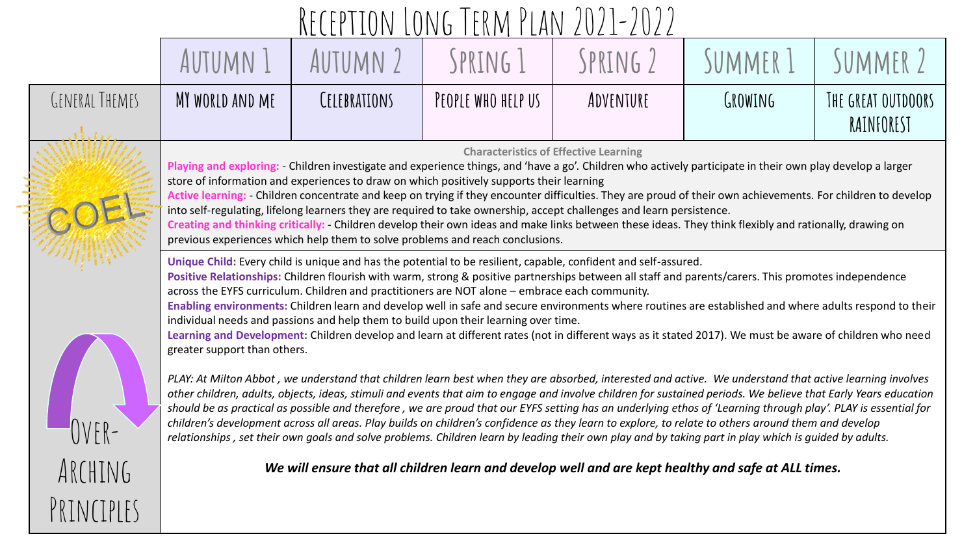|                       |                                                                                                                                                                                                                                                                                                                                                                                                                                                                                                                                                                                                                                                                                                                                                                                                                                       |              | INL CLI I LV I V LV I V I I LIN I I LIN I V                                                         | L V L L L V L L |          |                                  |  |  |
|-----------------------|---------------------------------------------------------------------------------------------------------------------------------------------------------------------------------------------------------------------------------------------------------------------------------------------------------------------------------------------------------------------------------------------------------------------------------------------------------------------------------------------------------------------------------------------------------------------------------------------------------------------------------------------------------------------------------------------------------------------------------------------------------------------------------------------------------------------------------------|--------------|-----------------------------------------------------------------------------------------------------|-----------------|----------|----------------------------------|--|--|
|                       | AUTUMN 1                                                                                                                                                                                                                                                                                                                                                                                                                                                                                                                                                                                                                                                                                                                                                                                                                              | AUTUMN 2     | SPRING 1                                                                                            | SPRING 2        | SUMMER 1 | SUMMER 2                         |  |  |
| <b>GENERAL THEMES</b> | MY WORLD AND ME                                                                                                                                                                                                                                                                                                                                                                                                                                                                                                                                                                                                                                                                                                                                                                                                                       | CELEBRATIONS | PEOPLE WHO HELP US                                                                                  | ADVENTURE       | GROWING  | THE GREAT OUTDOORS<br>RAINFOREST |  |  |
|                       | <b>Characteristics of Effective Learning</b><br>Playing and exploring: Children investigate and experience things, and 'have a go'. Children who actively participate in their own play develop a larger<br>store of information and experiences to draw on which positively supports their learning<br>Active learning: Children concentrate and keep on trying if they encounter difficulties. They are proud of their own achievements. For children to develop<br>into self-regulating, lifelong learners they are required to take ownership, accept challenges and learn persistence.<br>Creating and thinking critically: Children develop their own ideas and make links between these ideas. They think flexibly and rationally, drawing on<br>previous experiences which help them to solve problems and reach conclusions. |              |                                                                                                     |                 |          |                                  |  |  |
|                       | Unique Child: Every child is unique and has the potential to be resilient, capable, confident and self-assured.<br>Positive Relationships: Children flourish with warm, strong & positive partnerships between all staff and parents/carers. This promotes independence<br>across the EYFS curriculum. Children and practitioners are NOT alone - embrace each community.<br>Enabling environments: Children learn and develop well in safe and secure environments where routines are established and where adults respond to their<br>individual needs and passions and help them to build upon their learning over time.<br>Learning and Development: Children develop and learn at different rates (not in different ways as it stated 2017). We must be aware of children who need<br>greater support than others.               |              |                                                                                                     |                 |          |                                  |  |  |
|                       | PLAY: At Milton Abbot, we understand that children learn best when they are absorbed, interested and active. We understand that active learning involves<br>other children, adults, objects, ideas, stimuli and events that aim to engage and involve children for sustained periods. We believe that Early Years education<br>should be as practical as possible and therefore, we are proud that our EYFS setting has an underlying ethos of 'Learning through play'. PLAY is essential for<br>children's development across all areas. Play builds on children's confidence as they learn to explore, to relate to others around them and develop<br>relationships, set their own goals and solve problems. Children learn by leading their own play and by taking part in play which is guided by adults.                         |              |                                                                                                     |                 |          |                                  |  |  |
| ARCHING               |                                                                                                                                                                                                                                                                                                                                                                                                                                                                                                                                                                                                                                                                                                                                                                                                                                       |              | We will ensure that all children learn and develop well and are kept healthy and safe at ALL times. |                 |          |                                  |  |  |
| PRINCIPIFS            |                                                                                                                                                                                                                                                                                                                                                                                                                                                                                                                                                                                                                                                                                                                                                                                                                                       |              |                                                                                                     |                 |          |                                  |  |  |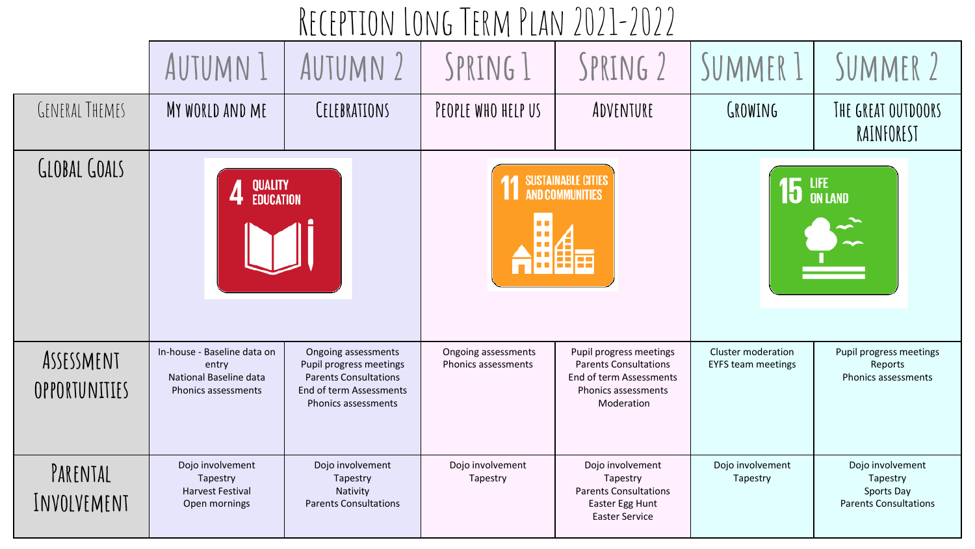| RECEPTION LONG TERM PLAN 2021-2022 |                                                                                       |                                                                                                                                  |                                                     |                                                                                                                         |                                                 |                                                                            |  |  |
|------------------------------------|---------------------------------------------------------------------------------------|----------------------------------------------------------------------------------------------------------------------------------|-----------------------------------------------------|-------------------------------------------------------------------------------------------------------------------------|-------------------------------------------------|----------------------------------------------------------------------------|--|--|
|                                    | AUTUMN 1                                                                              | AUTUMN 2                                                                                                                         | SPRING 1                                            | SPRING 2                                                                                                                | SUMMER 1                                        | SUMMER 2                                                                   |  |  |
| <b>GENERAL THEMES</b>              | MY WORLD AND ME                                                                       | CELEBRATIONS                                                                                                                     | PEOPLE WHO HELP US                                  | ADVENTURE                                                                                                               | <b>GROWING</b>                                  | THE GREAT OUTDOORS<br>RAINFOREST                                           |  |  |
| GLOBAL GOALS                       | QUALITY<br>Education                                                                  |                                                                                                                                  | <b>SUSTAINABLE CITIES</b><br><b>AND COMMUNITIES</b> |                                                                                                                         | $15$ LIFE                                       |                                                                            |  |  |
| ASSESSMENT<br>OPPORTUNITIES        | In-house - Baseline data on<br>entry<br>National Baseline data<br>Phonics assessments | Ongoing assessments<br>Pupil progress meetings<br><b>Parents Consultations</b><br>End of term Assessments<br>Phonics assessments | Ongoing assessments<br>Phonics assessments          | Pupil progress meetings<br><b>Parents Consultations</b><br>End of term Assessments<br>Phonics assessments<br>Moderation | Cluster moderation<br><b>EYFS team meetings</b> | Pupil progress meetings<br>Reports<br>Phonics assessments                  |  |  |
| PARENTAL<br>INVOLVEMENT            | Dojo involvement<br>Tapestry<br><b>Harvest Festival</b><br>Open mornings              | Dojo involvement<br>Tapestry<br>Nativity<br><b>Parents Consultations</b>                                                         | Dojo involvement<br>Tapestry                        | Dojo involvement<br>Tapestry<br><b>Parents Consultations</b><br>Easter Egg Hunt<br><b>Easter Service</b>                | Dojo involvement<br>Tapestry                    | Dojo involvement<br>Tapestry<br>Sports Day<br><b>Parents Consultations</b> |  |  |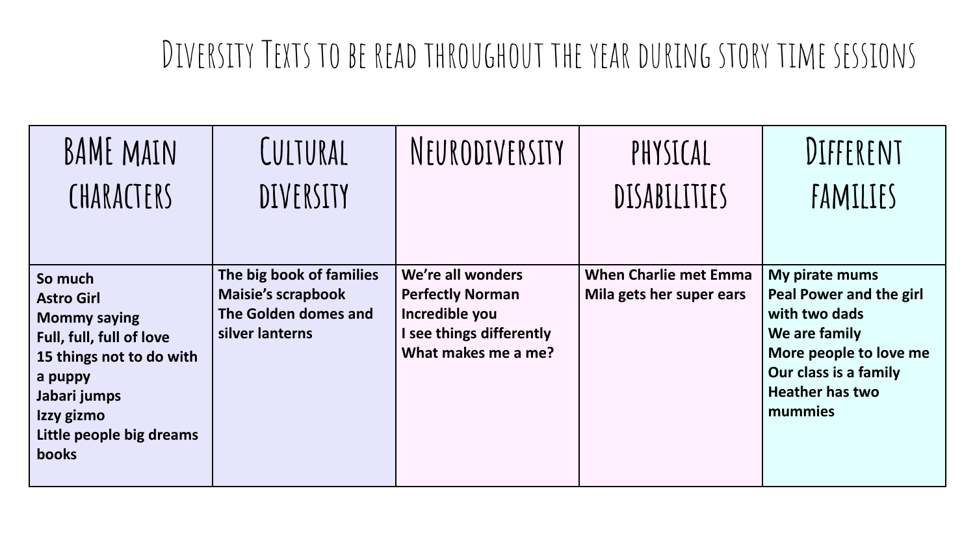#### Diversity Texts to be read throughout the year during story time sessions

| BAME MAIN                                                                                                                                                                                        | CULTURAL                                                                                         | NEURODIVERSITY                                                                                                    | PHYSICAL                                                 | DIFFERENT                                                                                                                                                           |
|--------------------------------------------------------------------------------------------------------------------------------------------------------------------------------------------------|--------------------------------------------------------------------------------------------------|-------------------------------------------------------------------------------------------------------------------|----------------------------------------------------------|---------------------------------------------------------------------------------------------------------------------------------------------------------------------|
| CHARACTERS                                                                                                                                                                                       | DIVERSITY                                                                                        |                                                                                                                   | <b>DISABILITIES</b>                                      | FAMILIES                                                                                                                                                            |
|                                                                                                                                                                                                  |                                                                                                  |                                                                                                                   |                                                          |                                                                                                                                                                     |
| So much<br><b>Astro Girl</b><br><b>Mommy saying</b><br>Full, full, full of love<br>15 things not to do with<br>a puppy<br>Jabari jumps<br>Izzy gizmo<br>Little people big dreams<br><b>books</b> | The big book of families<br><b>Maisie's scrapbook</b><br>The Golden domes and<br>silver lanterns | We're all wonders<br><b>Perfectly Norman</b><br>Incredible you<br>I see things differently<br>What makes me a me? | <b>When Charlie met Emma</b><br>Mila gets her super ears | My pirate mums<br>Peal Power and the girl<br>with two dads<br>We are family<br>More people to love me<br>Our class is a family<br><b>Heather has two</b><br>mummies |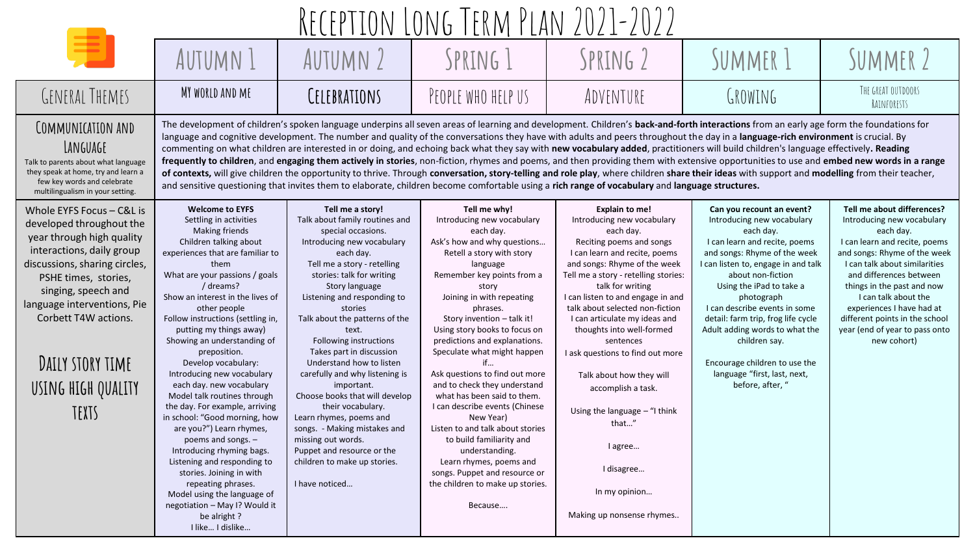| TERM PLAN 2021-2022                                                                                                                                                                                                                                                                                       |                                                                                                                                                                                                                                                                                                                                                                                                                                                                                                                                                                                                                                                                                                                                                                                                                    |                                                                                                                                                                                                                                                                                                                                                                                                                                                                                                                                                                                                                                                                                                                                                                                                                                                                                                                                                                                                                                                                                                                   |                                                                                                                                                                                                                                                                                                                                                                                                                                                                                                                                                                                                                                                                                                   |                                                                                                                                                                                                                                                                                                                                                                                                                                                                                                                                                                                       |                                                                                                                                                                                                                                                                                                                                                                                                                                                            |                                                                                                                                                                                                                                                                                                                                                                          |  |
|-----------------------------------------------------------------------------------------------------------------------------------------------------------------------------------------------------------------------------------------------------------------------------------------------------------|--------------------------------------------------------------------------------------------------------------------------------------------------------------------------------------------------------------------------------------------------------------------------------------------------------------------------------------------------------------------------------------------------------------------------------------------------------------------------------------------------------------------------------------------------------------------------------------------------------------------------------------------------------------------------------------------------------------------------------------------------------------------------------------------------------------------|-------------------------------------------------------------------------------------------------------------------------------------------------------------------------------------------------------------------------------------------------------------------------------------------------------------------------------------------------------------------------------------------------------------------------------------------------------------------------------------------------------------------------------------------------------------------------------------------------------------------------------------------------------------------------------------------------------------------------------------------------------------------------------------------------------------------------------------------------------------------------------------------------------------------------------------------------------------------------------------------------------------------------------------------------------------------------------------------------------------------|---------------------------------------------------------------------------------------------------------------------------------------------------------------------------------------------------------------------------------------------------------------------------------------------------------------------------------------------------------------------------------------------------------------------------------------------------------------------------------------------------------------------------------------------------------------------------------------------------------------------------------------------------------------------------------------------------|---------------------------------------------------------------------------------------------------------------------------------------------------------------------------------------------------------------------------------------------------------------------------------------------------------------------------------------------------------------------------------------------------------------------------------------------------------------------------------------------------------------------------------------------------------------------------------------|------------------------------------------------------------------------------------------------------------------------------------------------------------------------------------------------------------------------------------------------------------------------------------------------------------------------------------------------------------------------------------------------------------------------------------------------------------|--------------------------------------------------------------------------------------------------------------------------------------------------------------------------------------------------------------------------------------------------------------------------------------------------------------------------------------------------------------------------|--|
|                                                                                                                                                                                                                                                                                                           | AUTUMN 1                                                                                                                                                                                                                                                                                                                                                                                                                                                                                                                                                                                                                                                                                                                                                                                                           | AUTUMN 2                                                                                                                                                                                                                                                                                                                                                                                                                                                                                                                                                                                                                                                                                                                                                                                                                                                                                                                                                                                                                                                                                                          | SPRING 1                                                                                                                                                                                                                                                                                                                                                                                                                                                                                                                                                                                                                                                                                          | SPRING 2                                                                                                                                                                                                                                                                                                                                                                                                                                                                                                                                                                              | SUMMER 1                                                                                                                                                                                                                                                                                                                                                                                                                                                   | SUMMER 2                                                                                                                                                                                                                                                                                                                                                                 |  |
| GENERAL THEMES                                                                                                                                                                                                                                                                                            | MY WORLD AND ME                                                                                                                                                                                                                                                                                                                                                                                                                                                                                                                                                                                                                                                                                                                                                                                                    | CELEBRATIONS                                                                                                                                                                                                                                                                                                                                                                                                                                                                                                                                                                                                                                                                                                                                                                                                                                                                                                                                                                                                                                                                                                      | PEOPLE WHO HELP US                                                                                                                                                                                                                                                                                                                                                                                                                                                                                                                                                                                                                                                                                | ADVENTURE                                                                                                                                                                                                                                                                                                                                                                                                                                                                                                                                                                             | GROWING                                                                                                                                                                                                                                                                                                                                                                                                                                                    | THE GREAT OUTDOORS<br>RAINFORESTS                                                                                                                                                                                                                                                                                                                                        |  |
| COMMUNICATION AND<br>LANGUAGE<br>Talk to parents about what language<br>they speak at home, try and learn a<br>few key words and celebrate<br>multilingualism in your setting.                                                                                                                            |                                                                                                                                                                                                                                                                                                                                                                                                                                                                                                                                                                                                                                                                                                                                                                                                                    | The development of children's spoken language underpins all seven areas of learning and development. Children's back-and-forth interactions from an early age form the foundations for<br>language and cognitive development. The number and quality of the conversations they have with adults and peers throughout the day in a language-rich environment is crucial. By<br>commenting on what children are interested in or doing, and echoing back what they say with new vocabulary added, practitioners will build children's language effectively. Reading<br>frequently to children, and engaging them actively in stories, non-fiction, rhymes and poems, and then providing them with extensive opportunities to use and embed new words in a range<br>of contexts, will give children the opportunity to thrive. Through conversation, story-telling and role play, where children share their ideas with support and modelling from their teacher,<br>and sensitive questioning that invites them to elaborate, children become comfortable using a rich range of vocabulary and language structures. |                                                                                                                                                                                                                                                                                                                                                                                                                                                                                                                                                                                                                                                                                                   |                                                                                                                                                                                                                                                                                                                                                                                                                                                                                                                                                                                       |                                                                                                                                                                                                                                                                                                                                                                                                                                                            |                                                                                                                                                                                                                                                                                                                                                                          |  |
| Whole EYFS Focus - C&L is<br>developed throughout the<br>year through high quality<br>interactions, daily group<br>discussions, sharing circles,<br>PSHE times, stories,<br>singing, speech and<br>language interventions, Pie<br>Corbett T4W actions.<br>DAILY STORY TIME<br>USING HIGH QUALITY<br>TEXTS | <b>Welcome to EYFS</b><br>Settling in activities<br>Making friends<br>Children talking about<br>experiences that are familiar to<br>them<br>What are your passions / goals<br>/ dreams?<br>Show an interest in the lives of<br>other people<br>Follow instructions (settling in,<br>putting my things away)<br>Showing an understanding of<br>preposition.<br>Develop vocabulary:<br>Introducing new vocabulary<br>each day. new vocabulary<br>Model talk routines through<br>the day. For example, arriving<br>in school: "Good morning, how<br>are you?") Learn rhymes,<br>poems and songs. $-$<br>Introducing rhyming bags.<br>Listening and responding to<br>stories. Joining in with<br>repeating phrases.<br>Model using the language of<br>negotiation - May I? Would it<br>be alright?<br>I like I dislike | Tell me a story!<br>Talk about family routines and<br>special occasions.<br>Introducing new vocabulary<br>each day.<br>Tell me a story - retelling<br>stories: talk for writing<br>Story language<br>Listening and responding to<br>stories<br>Talk about the patterns of the<br>text.<br>Following instructions<br>Takes part in discussion<br>Understand how to listen<br>carefully and why listening is<br>important.<br>Choose books that will develop<br>their vocabulary.<br>Learn rhymes, poems and<br>songs. - Making mistakes and<br>missing out words.<br>Puppet and resource or the<br>children to make up stories.<br>I have noticed                                                                                                                                                                                                                                                                                                                                                                                                                                                                  | Tell me why!<br>Introducing new vocabulary<br>each day.<br>Ask's how and why questions<br>Retell a story with story<br>language<br>Remember key points from a<br>story<br>Joining in with repeating<br>phrases.<br>Story invention - talk it!<br>Using story books to focus on<br>predictions and explanations.<br>Speculate what might happen<br>if<br>Ask questions to find out more<br>and to check they understand<br>what has been said to them.<br>I can describe events (Chinese<br>New Year)<br>Listen to and talk about stories<br>to build familiarity and<br>understanding.<br>Learn rhymes, poems and<br>songs. Puppet and resource or<br>the children to make up stories.<br>Because | <b>Explain to me!</b><br>Introducing new vocabulary<br>each day.<br>Reciting poems and songs<br>I can learn and recite, poems<br>and songs: Rhyme of the week<br>Tell me a story - retelling stories:<br>talk for writing<br>I can listen to and engage in and<br>talk about selected non-fiction<br>I can articulate my ideas and<br>thoughts into well-formed<br>sentences<br>I ask questions to find out more<br>Talk about how they will<br>accomplish a task.<br>Using the language $-$ "I think<br>that"<br>I agree<br>I disagree<br>In my opinion<br>Making up nonsense rhymes | Can you recount an event?<br>Introducing new vocabulary<br>each day.<br>I can learn and recite, poems<br>and songs: Rhyme of the week<br>I can listen to, engage in and talk<br>about non-fiction<br>Using the iPad to take a<br>photograph<br>I can describe events in some<br>detail: farm trip, frog life cycle<br>Adult adding words to what the<br>children say.<br>Encourage children to use the<br>language "first, last, next,<br>before, after, " | Tell me about differences?<br>Introducing new vocabulary<br>each day.<br>I can learn and recite, poems<br>and songs: Rhyme of the week<br>I can talk about similarities<br>and differences between<br>things in the past and now<br>I can talk about the<br>experiences I have had at<br>different points in the school<br>year (end of year to pass onto<br>new cohort) |  |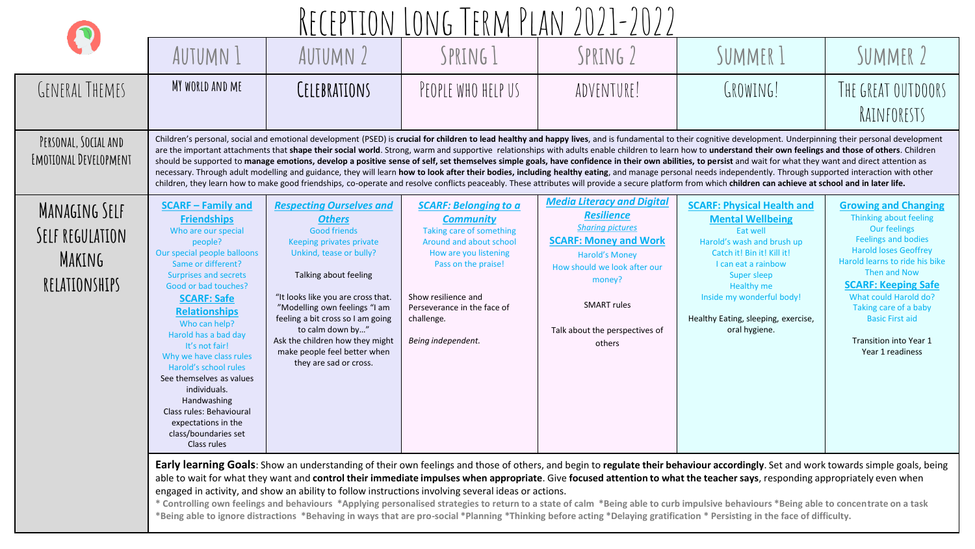|                                                             | <u>RECEPTION LONG TERM PLAN 2021-2022</u>                                                                                                                                                                                                                                                                                                                                                                                                                                                                 |                                                                                                                                                                                                                                                                                                                                                                                                                                                                                                                                                                                                                                                                                                                                                                                                                                                                                                                                                                                                                                                                                    |                                                                                                                                                                                                                                                   |                                                                                                                                                                                                                                                        |                                                                                                                                                                                                                                                                                             |                                                                                                                                                                                                                                                                                                                                               |  |  |  |
|-------------------------------------------------------------|-----------------------------------------------------------------------------------------------------------------------------------------------------------------------------------------------------------------------------------------------------------------------------------------------------------------------------------------------------------------------------------------------------------------------------------------------------------------------------------------------------------|------------------------------------------------------------------------------------------------------------------------------------------------------------------------------------------------------------------------------------------------------------------------------------------------------------------------------------------------------------------------------------------------------------------------------------------------------------------------------------------------------------------------------------------------------------------------------------------------------------------------------------------------------------------------------------------------------------------------------------------------------------------------------------------------------------------------------------------------------------------------------------------------------------------------------------------------------------------------------------------------------------------------------------------------------------------------------------|---------------------------------------------------------------------------------------------------------------------------------------------------------------------------------------------------------------------------------------------------|--------------------------------------------------------------------------------------------------------------------------------------------------------------------------------------------------------------------------------------------------------|---------------------------------------------------------------------------------------------------------------------------------------------------------------------------------------------------------------------------------------------------------------------------------------------|-----------------------------------------------------------------------------------------------------------------------------------------------------------------------------------------------------------------------------------------------------------------------------------------------------------------------------------------------|--|--|--|
|                                                             | <b>AUTUMN 1</b>                                                                                                                                                                                                                                                                                                                                                                                                                                                                                           | AUTUMN 2                                                                                                                                                                                                                                                                                                                                                                                                                                                                                                                                                                                                                                                                                                                                                                                                                                                                                                                                                                                                                                                                           | SPRING 1                                                                                                                                                                                                                                          | SPRING 2                                                                                                                                                                                                                                               | SUMMER 1                                                                                                                                                                                                                                                                                    | SUMMER 2                                                                                                                                                                                                                                                                                                                                      |  |  |  |
| GENERAL THEMES                                              | MY WORLD AND ME                                                                                                                                                                                                                                                                                                                                                                                                                                                                                           | CELEBRATIONS                                                                                                                                                                                                                                                                                                                                                                                                                                                                                                                                                                                                                                                                                                                                                                                                                                                                                                                                                                                                                                                                       | PEOPLE WHO HELP US                                                                                                                                                                                                                                | ADVENTURE!                                                                                                                                                                                                                                             | GROWING!                                                                                                                                                                                                                                                                                    | THE GREAT OUTDOORS<br>RAINFORESTS                                                                                                                                                                                                                                                                                                             |  |  |  |
| PERSONAL, SOCIAL AND<br>EMOTIONAL DEVELOPMENT               |                                                                                                                                                                                                                                                                                                                                                                                                                                                                                                           | Children's personal, social and emotional development (PSED) is crucial for children to lead healthy and happy lives, and is fundamental to their cognitive development. Underpinning their personal development<br>are the important attachments that shape their social world. Strong, warm and supportive relationships with adults enable children to learn how to understand their own feelings and those of others. Children<br>should be supported to manage emotions, develop a positive sense of self, set themselves simple goals, have confidence in their own abilities, to persist and wait for what they want and direct attention as<br>necessary. Through adult modelling and guidance, they will learn how to look after their bodies, including healthy eating, and manage personal needs independently. Through supported interaction with other<br>children, they learn how to make good friendships, co-operate and resolve conflicts peaceably. These attributes will provide a secure platform from which children can achieve at school and in later life. |                                                                                                                                                                                                                                                   |                                                                                                                                                                                                                                                        |                                                                                                                                                                                                                                                                                             |                                                                                                                                                                                                                                                                                                                                               |  |  |  |
| MANAGING SELF<br>SELF REGULATION<br>MAKING<br>RELATIONSHIPS | <b>SCARF - Family and</b><br><b>Friendships</b><br>Who are our special<br>people?<br>Our special people balloons<br>Same or different?<br>Surprises and secrets<br>Good or bad touches?<br><b>SCARF: Safe</b><br><b>Relationships</b><br>Who can help?<br>Harold has a bad day<br>It's not fair!<br>Why we have class rules<br>Harold's school rules<br>See themselves as values<br>individuals.<br>Handwashing<br>Class rules: Behavioural<br>expectations in the<br>class/boundaries set<br>Class rules | <b>Respecting Ourselves and</b><br><b>Others</b><br><b>Good friends</b><br>Keeping privates private<br>Unkind, tease or bully?<br>Talking about feeling<br>"It looks like you are cross that.<br>"Modelling own feelings "I am<br>feeling a bit cross so I am going<br>to calm down by"<br>Ask the children how they might<br>make people feel better when<br>they are sad or cross.                                                                                                                                                                                                                                                                                                                                                                                                                                                                                                                                                                                                                                                                                               | <b>SCARF: Belonging to a</b><br><b>Community</b><br>Taking care of something<br>Around and about school<br>How are you listening<br>Pass on the praise!<br>Show resilience and<br>Perseverance in the face of<br>challenge.<br>Being independent. | <b>Media Literacy and Digital</b><br><b>Resilience</b><br><b>Sharing pictures</b><br><b>SCARF: Money and Work</b><br><b>Harold's Money</b><br>How should we look after our<br>money?<br><b>SMART rules</b><br>Talk about the perspectives of<br>others | <b>SCARF: Physical Health and</b><br><b>Mental Wellbeing</b><br>Eat well<br>Harold's wash and brush up<br>Catch it! Bin it! Kill it!<br>I can eat a rainbow<br><b>Super sleep</b><br><b>Healthy me</b><br>Inside my wonderful body!<br>Healthy Eating, sleeping, exercise,<br>oral hygiene. | <b>Growing and Changing</b><br>Thinking about feeling<br>Our feelings<br><b>Feelings and bodies</b><br><b>Harold loses Geoffrey</b><br>Harold learns to ride his bike<br>Then and Now<br><b>SCARF: Keeping Safe</b><br>What could Harold do?<br>Taking care of a baby<br><b>Basic First aid</b><br>Transition into Year 1<br>Year 1 readiness |  |  |  |

**Early learning Goals**: Show an understanding of their own feelings and those of others, and begin to **regulate their behaviour accordingly**. Set and work towards simple goals, being able to wait for what they want and **control their immediate impulses when appropriate**. Give **focused attention to what the teacher says**, responding appropriately even when engaged in activity, and show an ability to follow instructions involving several ideas or actions.

**\* Controlling own feelings and behaviours \*Applying personalised strategies to return to a state of calm \*Being able to curb impulsive behaviours \*Being able to concentrate on a task \*Being able to ignore distractions \*Behaving in ways that are pro-social \*Planning \*Thinking before acting \*Delaying gratification \* Persisting in the face of difficulty.**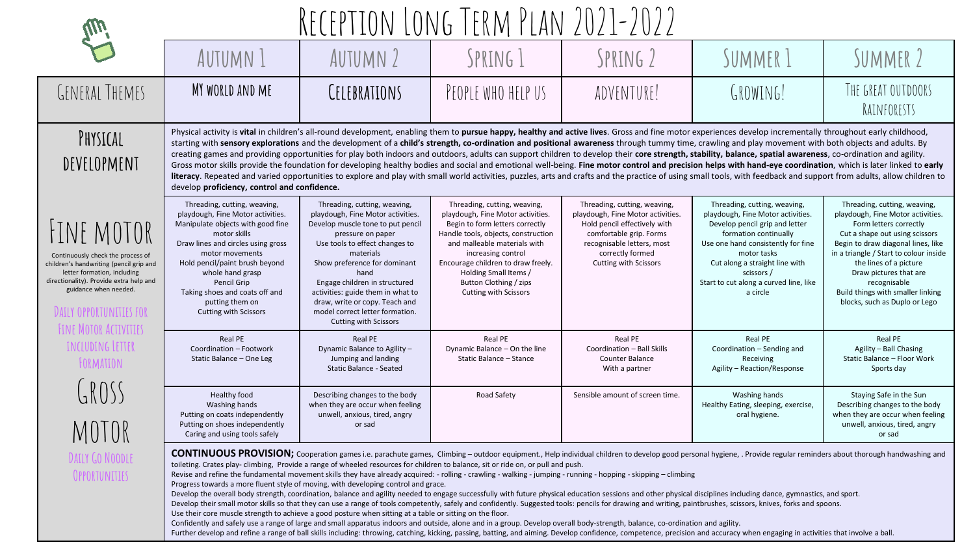|                                                                                                                                                                                                                                        |                                                                                                                                                                                                                                                                                                                                                                                                                                                                                                                                                                                                                                                                                                                                                                                                                                                                                                                                                                                                                                                                                                                                                                                                                                                                                                                                                                                                                                                                                                                                                                                          |                                                                                                                                                                                                                                                                                                                                                                                                                                                                                                                                                                                                                                                                                                                                                                                                                                                                                                                                                                                                                                                                                                                                | RECEPTION LONG TERM PLAN 2021-2022                                                                                                                                                                                                                                                                                         |                                                                                                                                                                                                                |                                                                                                                                                                                                                                                                                        |                                                                                                                                                                                                                                                                                                                                                         |  |  |  |
|----------------------------------------------------------------------------------------------------------------------------------------------------------------------------------------------------------------------------------------|------------------------------------------------------------------------------------------------------------------------------------------------------------------------------------------------------------------------------------------------------------------------------------------------------------------------------------------------------------------------------------------------------------------------------------------------------------------------------------------------------------------------------------------------------------------------------------------------------------------------------------------------------------------------------------------------------------------------------------------------------------------------------------------------------------------------------------------------------------------------------------------------------------------------------------------------------------------------------------------------------------------------------------------------------------------------------------------------------------------------------------------------------------------------------------------------------------------------------------------------------------------------------------------------------------------------------------------------------------------------------------------------------------------------------------------------------------------------------------------------------------------------------------------------------------------------------------------|--------------------------------------------------------------------------------------------------------------------------------------------------------------------------------------------------------------------------------------------------------------------------------------------------------------------------------------------------------------------------------------------------------------------------------------------------------------------------------------------------------------------------------------------------------------------------------------------------------------------------------------------------------------------------------------------------------------------------------------------------------------------------------------------------------------------------------------------------------------------------------------------------------------------------------------------------------------------------------------------------------------------------------------------------------------------------------------------------------------------------------|----------------------------------------------------------------------------------------------------------------------------------------------------------------------------------------------------------------------------------------------------------------------------------------------------------------------------|----------------------------------------------------------------------------------------------------------------------------------------------------------------------------------------------------------------|----------------------------------------------------------------------------------------------------------------------------------------------------------------------------------------------------------------------------------------------------------------------------------------|---------------------------------------------------------------------------------------------------------------------------------------------------------------------------------------------------------------------------------------------------------------------------------------------------------------------------------------------------------|--|--|--|
|                                                                                                                                                                                                                                        | AUTUMN 1                                                                                                                                                                                                                                                                                                                                                                                                                                                                                                                                                                                                                                                                                                                                                                                                                                                                                                                                                                                                                                                                                                                                                                                                                                                                                                                                                                                                                                                                                                                                                                                 | AUTUMN 2                                                                                                                                                                                                                                                                                                                                                                                                                                                                                                                                                                                                                                                                                                                                                                                                                                                                                                                                                                                                                                                                                                                       | SPRING 1                                                                                                                                                                                                                                                                                                                   | SPRING 2                                                                                                                                                                                                       | SUMMER 1                                                                                                                                                                                                                                                                               | SUMMER 2                                                                                                                                                                                                                                                                                                                                                |  |  |  |
| <b>GENERAL THEMES</b>                                                                                                                                                                                                                  | MY WORLD AND ME                                                                                                                                                                                                                                                                                                                                                                                                                                                                                                                                                                                                                                                                                                                                                                                                                                                                                                                                                                                                                                                                                                                                                                                                                                                                                                                                                                                                                                                                                                                                                                          | CELEBRATIONS                                                                                                                                                                                                                                                                                                                                                                                                                                                                                                                                                                                                                                                                                                                                                                                                                                                                                                                                                                                                                                                                                                                   | PEOPLE WHO HELP US                                                                                                                                                                                                                                                                                                         | ADVENTURE!                                                                                                                                                                                                     | GROWING!                                                                                                                                                                                                                                                                               | THE GREAT OUTDOORS<br>RAINFORESTS                                                                                                                                                                                                                                                                                                                       |  |  |  |
| PHYSICAL<br>DEVELOPMENT                                                                                                                                                                                                                |                                                                                                                                                                                                                                                                                                                                                                                                                                                                                                                                                                                                                                                                                                                                                                                                                                                                                                                                                                                                                                                                                                                                                                                                                                                                                                                                                                                                                                                                                                                                                                                          | Physical activity is vital in children's all-round development, enabling them to pursue happy, healthy and active lives. Gross and fine motor experiences develop incrementally throughout early childhood,<br>starting with sensory explorations and the development of a child's strength, co-ordination and positional awareness through tummy time, crawling and play movement with both objects and adults. By<br>creating games and providing opportunities for play both indoors and outdoors, adults can support children to develop their core strength, stability, balance, spatial awareness, co-ordination and agility.<br>Gross motor skills provide the foundation for developing healthy bodies and social and emotional well-being. Fine motor control and precision helps with hand-eye coordination, which is later linked to early<br>literacy. Repeated and varied opportunities to explore and play with small world activities, puzzles, arts and crafts and the practice of using small tools, with feedback and support from adults, allow children to<br>develop proficiency, control and confidence. |                                                                                                                                                                                                                                                                                                                            |                                                                                                                                                                                                                |                                                                                                                                                                                                                                                                                        |                                                                                                                                                                                                                                                                                                                                                         |  |  |  |
| <b>HINE MOTOR</b><br>Continuously check the process of<br>children's handwriting (pencil grip and<br>letter formation, including<br>directionality). Provide extra help and<br>guidance when needed.<br><b>DAILY OPPORTUNITIES FOR</b> | Threading, cutting, weaving,<br>playdough, Fine Motor activities.<br>Manipulate objects with good fine<br>motor skills<br>Draw lines and circles using gross<br>motor movements<br>Hold pencil/paint brush beyond<br>whole hand grasp<br>Pencil Grip<br>Taking shoes and coats off and<br>putting them on<br><b>Cutting with Scissors</b>                                                                                                                                                                                                                                                                                                                                                                                                                                                                                                                                                                                                                                                                                                                                                                                                                                                                                                                                                                                                                                                                                                                                                                                                                                                | Threading, cutting, weaving,<br>playdough, Fine Motor activities.<br>Develop muscle tone to put pencil<br>pressure on paper<br>Use tools to effect changes to<br>materials<br>Show preference for dominant<br>hand<br>Engage children in structured<br>activities: guide them in what to<br>draw, write or copy. Teach and<br>model correct letter formation.<br><b>Cutting with Scissors</b>                                                                                                                                                                                                                                                                                                                                                                                                                                                                                                                                                                                                                                                                                                                                  | Threading, cutting, weaving,<br>playdough, Fine Motor activities.<br>Begin to form letters correctly<br>Handle tools, objects, construction<br>and malleable materials with<br>increasing control<br>Encourage children to draw freely.<br>Holding Small Items /<br>Button Clothing / zips<br><b>Cutting with Scissors</b> | Threading, cutting, weaving,<br>playdough, Fine Motor activities.<br>Hold pencil effectively with<br>comfortable grip. Forms<br>recognisable letters, most<br>correctly formed<br><b>Cutting with Scissors</b> | Threading, cutting, weaving,<br>playdough, Fine Motor activities<br>Develop pencil grip and letter<br>formation continually<br>Use one hand consistently for fine<br>motor tasks<br>Cut along a straight line with<br>scissors /<br>Start to cut along a curved line, like<br>a circle | Threading, cutting, weaving,<br>playdough, Fine Motor activities.<br>Form letters correctly<br>Cut a shape out using scissors<br>Begin to draw diagonal lines, like<br>in a triangle / Start to colour inside<br>the lines of a picture<br>Draw pictures that are<br>recognisable<br>Build things with smaller linking<br>blocks, such as Duplo or Lego |  |  |  |
| FINE MOTOR ACTIVITIES<br><b>INCLUDING LETTER</b><br>FORMATION                                                                                                                                                                          | Real PE<br>Coordination - Footwork<br>Static Balance - One Leg                                                                                                                                                                                                                                                                                                                                                                                                                                                                                                                                                                                                                                                                                                                                                                                                                                                                                                                                                                                                                                                                                                                                                                                                                                                                                                                                                                                                                                                                                                                           | <b>Real PE</b><br>Dynamic Balance to Agility -<br>Jumping and landing<br><b>Static Balance - Seated</b>                                                                                                                                                                                                                                                                                                                                                                                                                                                                                                                                                                                                                                                                                                                                                                                                                                                                                                                                                                                                                        | Real PE<br>Dynamic Balance - On the line<br>Static Balance - Stance                                                                                                                                                                                                                                                        | Real PE<br>Coordination - Ball Skills<br>Counter Balance<br>With a partner                                                                                                                                     | Real PE<br>Coordination - Sending and<br>Receiving<br>Agility - Reaction/Response                                                                                                                                                                                                      | Real PE<br>Agility - Ball Chasing<br>Static Balance - Floor Work<br>Sports day                                                                                                                                                                                                                                                                          |  |  |  |
| GROSS<br>MOTOR                                                                                                                                                                                                                         | Healthy food<br>Washing hands<br>Putting on coats independently<br>Putting on shoes independently<br>Caring and using tools safely                                                                                                                                                                                                                                                                                                                                                                                                                                                                                                                                                                                                                                                                                                                                                                                                                                                                                                                                                                                                                                                                                                                                                                                                                                                                                                                                                                                                                                                       | Describing changes to the body<br>when they are occur when feeling<br>unwell, anxious, tired, angry<br>or sad                                                                                                                                                                                                                                                                                                                                                                                                                                                                                                                                                                                                                                                                                                                                                                                                                                                                                                                                                                                                                  | Road Safety                                                                                                                                                                                                                                                                                                                | Sensible amount of screen time.                                                                                                                                                                                | Washing hands<br>Healthy Eating, sleeping, exercise,<br>oral hygiene.                                                                                                                                                                                                                  | Staying Safe in the Sun<br>Describing changes to the body<br>when they are occur when feeling<br>unwell, anxious, tired, angry<br>or sad                                                                                                                                                                                                                |  |  |  |
| DAILY GO NOODLE<br>OPPORTUNITIES                                                                                                                                                                                                       | CONTINUOUS PROVISION; Cooperation games i.e. parachute games, Climbing - outdoor equipment., Help individual children to develop good personal hygiene, . Provide regular reminders about thorough handwashing and<br>toileting. Crates play-climbing, Provide a range of wheeled resources for children to balance, sit or ride on, or pull and push.<br>Revise and refine the fundamental movement skills they have already acquired: - rolling - crawling - walking - jumping - running - hopping - skipping - climbing<br>Progress towards a more fluent style of moving, with developing control and grace.<br>Develop the overall body strength, coordination, balance and agility needed to engage successfully with future physical education sessions and other physical disciplines including dance, gymnastics, and sport.<br>Develop their small motor skills so that they can use a range of tools competently, safely and confidently. Suggested tools: pencils for drawing and writing, paintbrushes, scissors, knives, forks and spoons.<br>Use their core muscle strength to achieve a good posture when sitting at a table or sitting on the floor.<br>Confidently and safely use a range of large and small apparatus indoors and outside, alone and in a group. Develop overall body-strength, balance, co-ordination and agility.<br>Further develop and refine a range of ball skills including: throwing, catching, kicking, passing, batting, and aiming. Develop confidence, competence, precision and accuracy when engaging in activities that involve a ball |                                                                                                                                                                                                                                                                                                                                                                                                                                                                                                                                                                                                                                                                                                                                                                                                                                                                                                                                                                                                                                                                                                                                |                                                                                                                                                                                                                                                                                                                            |                                                                                                                                                                                                                |                                                                                                                                                                                                                                                                                        |                                                                                                                                                                                                                                                                                                                                                         |  |  |  |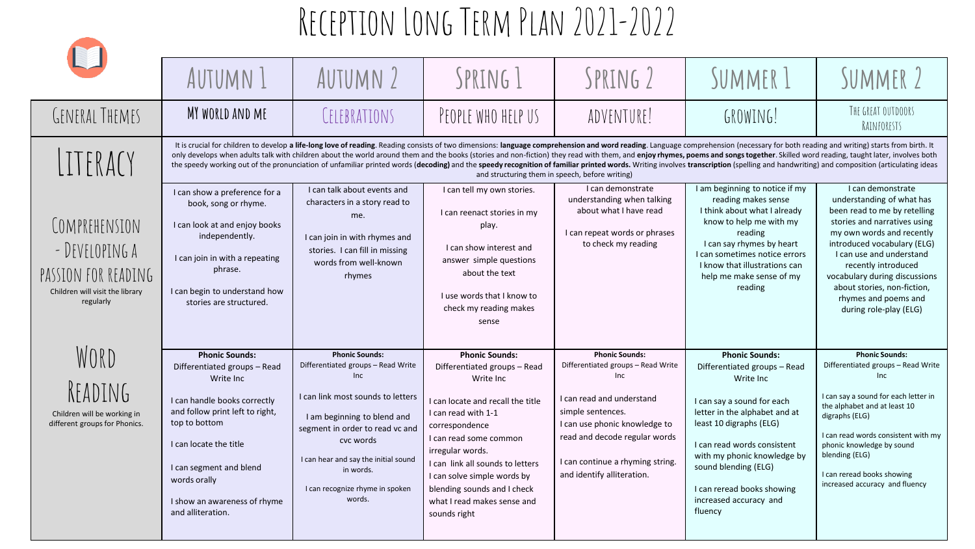|                                                                                                        | AUTUMN 1                                                                                                                                                                                                                                                                         | AUTUMN 2                                                                                                                                                                                                                                                                                                                                                                                                                                                                                                                                                                                                                                                                                                                                              | SPRING 1                                                                                                                                                                                                                                                                                                                                        | SPRING 2                                                                                                                                                                                                                                                        | SUMMER 1                                                                                                                                                                                                                                                                                                              | SUMMER 2                                                                                                                                                                                                                                                                                                                                        |  |  |  |
|--------------------------------------------------------------------------------------------------------|----------------------------------------------------------------------------------------------------------------------------------------------------------------------------------------------------------------------------------------------------------------------------------|-------------------------------------------------------------------------------------------------------------------------------------------------------------------------------------------------------------------------------------------------------------------------------------------------------------------------------------------------------------------------------------------------------------------------------------------------------------------------------------------------------------------------------------------------------------------------------------------------------------------------------------------------------------------------------------------------------------------------------------------------------|-------------------------------------------------------------------------------------------------------------------------------------------------------------------------------------------------------------------------------------------------------------------------------------------------------------------------------------------------|-----------------------------------------------------------------------------------------------------------------------------------------------------------------------------------------------------------------------------------------------------------------|-----------------------------------------------------------------------------------------------------------------------------------------------------------------------------------------------------------------------------------------------------------------------------------------------------------------------|-------------------------------------------------------------------------------------------------------------------------------------------------------------------------------------------------------------------------------------------------------------------------------------------------------------------------------------------------|--|--|--|
| <b>GENERAL THEMES</b>                                                                                  | MY WORLD AND ME                                                                                                                                                                                                                                                                  | CELEBRATIONS                                                                                                                                                                                                                                                                                                                                                                                                                                                                                                                                                                                                                                                                                                                                          | PEOPLE WHO HELP US                                                                                                                                                                                                                                                                                                                              | ADVENTURE!                                                                                                                                                                                                                                                      | GROWING!                                                                                                                                                                                                                                                                                                              | THE GREAT OUTDOORS<br>RAINFORESTS                                                                                                                                                                                                                                                                                                               |  |  |  |
| LITERACY                                                                                               |                                                                                                                                                                                                                                                                                  | It is crucial for children to develop a life-long love of reading. Reading consists of two dimensions: language comprehension and word reading. Language comprehension (necessary for both reading and writing) starts from bi<br>only develops when adults talk with children about the world around them and the books (stories and non-fiction) they read with them, and enjoy rhymes, poems and songs together. Skilled word reading, taught later, involves<br>the speedy working out of the pronunciation of unfamiliar printed words (decoding) and the speedy recognition of familiar printed words. Writing involves transcription (spelling and handwriting) and composition (articulati<br>and structuring them in speech, before writing) |                                                                                                                                                                                                                                                                                                                                                 |                                                                                                                                                                                                                                                                 |                                                                                                                                                                                                                                                                                                                       |                                                                                                                                                                                                                                                                                                                                                 |  |  |  |
| COMPREHENSION<br>- DEVELOPING A<br>PASSION FOR READING<br>Children will visit the library<br>regularly | I can show a preference for a<br>book, song or rhyme.<br>I can look at and enjoy books<br>independently.<br>I can join in with a repeating<br>phrase.<br>I can begin to understand how<br>stories are structured.                                                                | I can talk about events and<br>characters in a story read to<br>me.<br>I can join in with rhymes and<br>stories. I can fill in missing<br>words from well-known<br>rhymes                                                                                                                                                                                                                                                                                                                                                                                                                                                                                                                                                                             | I can tell my own stories.<br>I can reenact stories in my<br>play.<br>I can show interest and<br>answer simple questions<br>about the text<br>I use words that I know to<br>check my reading makes<br>sense                                                                                                                                     | I can demonstrate<br>understanding when talking<br>about what I have read<br>I can repeat words or phrases<br>to check my reading                                                                                                                               | I am beginning to notice if my<br>reading makes sense<br>I think about what I already<br>know to help me with my<br>reading<br>I can say rhymes by heart<br>I can sometimes notice errors<br>I know that illustrations can<br>help me make sense of my<br>reading                                                     | I can demonstrate<br>understanding of what has<br>been read to me by retelling<br>stories and narratives using<br>my own words and recently<br>introduced vocabulary (ELG)<br>I can use and understand<br>recently introduced<br>vocabulary during discussions<br>about stories, non-fiction,<br>rhymes and poems and<br>during role-play (ELG) |  |  |  |
| WORD<br>READING<br>Children will be working in<br>different groups for Phonics.                        | <b>Phonic Sounds:</b><br>Differentiated groups - Read<br>Write Inc<br>I can handle books correctly<br>and follow print left to right,<br>top to bottom<br>I can locate the title<br>I can segment and blend<br>words orally<br>I show an awareness of rhyme<br>and alliteration. | <b>Phonic Sounds:</b><br>Differentiated groups - Read Write<br>Inc<br>I can link most sounds to letters<br>I am beginning to blend and<br>segment in order to read vc and<br>cvc words<br>I can hear and say the initial sound<br>in words.<br>I can recognize rhyme in spoken<br>words.                                                                                                                                                                                                                                                                                                                                                                                                                                                              | <b>Phonic Sounds:</b><br>Differentiated groups - Read<br>Write Inc<br>I can locate and recall the title<br>I can read with 1-1<br>correspondence<br>I can read some common<br>irregular words.<br>I can link all sounds to letters<br>I can solve simple words by<br>blending sounds and I check<br>what I read makes sense and<br>sounds right | <b>Phonic Sounds:</b><br>Differentiated groups - Read Write<br><b>Inc</b><br>I can read and understand<br>simple sentences.<br>I can use phonic knowledge to<br>read and decode regular words<br>I can continue a rhyming string.<br>and identify alliteration. | <b>Phonic Sounds:</b><br>Differentiated groups - Read<br>Write Inc<br>I can say a sound for each<br>letter in the alphabet and at<br>least 10 digraphs (ELG)<br>I can read words consistent<br>with my phonic knowledge by<br>sound blending (ELG)<br>I can reread books showing<br>increased accuracy and<br>fluency | <b>Phonic Sounds:</b><br>Differentiated groups - Read Write<br>Inc<br>I can say a sound for each letter in<br>the alphabet and at least 10<br>digraphs (ELG)<br>I can read words consistent with my<br>phonic knowledge by sound<br>blending (ELG)<br>I can reread books showing<br>increased accuracy and fluency                              |  |  |  |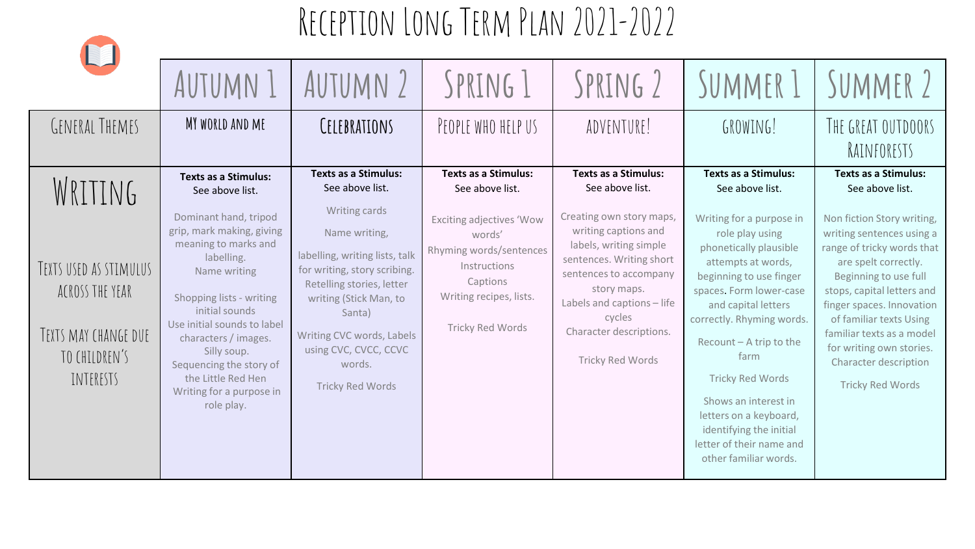

| RJ,                                                                                                        | AUTUMN 1                                                                                                                                                                                                                                                                                                                                                                  | AUTUMN 2                                                                                                                                                                                                                                                                                                       | SPRING 1                                                                                                                                                                                                 | SPRING 2                                                                                                                                                                                                                                                                                 | SUMMER 1                                                                                                                                                                                                                                                                                                                                                                                                                                                | SUMMER 2                                                                                                                                                                                                                                                                                                                                                                                    |
|------------------------------------------------------------------------------------------------------------|---------------------------------------------------------------------------------------------------------------------------------------------------------------------------------------------------------------------------------------------------------------------------------------------------------------------------------------------------------------------------|----------------------------------------------------------------------------------------------------------------------------------------------------------------------------------------------------------------------------------------------------------------------------------------------------------------|----------------------------------------------------------------------------------------------------------------------------------------------------------------------------------------------------------|------------------------------------------------------------------------------------------------------------------------------------------------------------------------------------------------------------------------------------------------------------------------------------------|---------------------------------------------------------------------------------------------------------------------------------------------------------------------------------------------------------------------------------------------------------------------------------------------------------------------------------------------------------------------------------------------------------------------------------------------------------|---------------------------------------------------------------------------------------------------------------------------------------------------------------------------------------------------------------------------------------------------------------------------------------------------------------------------------------------------------------------------------------------|
| GENERAL THEMES                                                                                             | MY WORLD AND ME                                                                                                                                                                                                                                                                                                                                                           | CELEBRATIONS                                                                                                                                                                                                                                                                                                   | PEOPLE WHO HELP US                                                                                                                                                                                       | ADVENTURE!                                                                                                                                                                                                                                                                               | GROWING!                                                                                                                                                                                                                                                                                                                                                                                                                                                | THE GREAT OUTDOORS<br>RAINFORESTS                                                                                                                                                                                                                                                                                                                                                           |
| WRITING<br>TEXTS USED AS STIMULUS<br>ACROSS THE YEAR<br>TEXTS MAY CHANGE DUE<br>TO CHILDREN'S<br>INTERESTS | <b>Texts as a Stimulus:</b><br>See above list.<br>Dominant hand, tripod<br>grip, mark making, giving<br>meaning to marks and<br>labelling.<br>Name writing<br>Shopping lists - writing<br>initial sounds<br>Use initial sounds to label<br>characters / images.<br>Silly soup.<br>Sequencing the story of<br>the Little Red Hen<br>Writing for a purpose in<br>role play. | <b>Texts as a Stimulus:</b><br>See above list.<br>Writing cards<br>Name writing,<br>labelling, writing lists, talk<br>for writing, story scribing.<br>Retelling stories, letter<br>writing (Stick Man, to<br>Santa)<br>Writing CVC words, Labels<br>using CVC, CVCC, CCVC<br>words.<br><b>Tricky Red Words</b> | <b>Texts as a Stimulus:</b><br>See above list.<br><b>Exciting adjectives 'Wow</b><br>words'<br>Rhyming words/sentences<br>Instructions<br>Captions<br>Writing recipes, lists.<br><b>Tricky Red Words</b> | <b>Texts as a Stimulus:</b><br>See above list.<br>Creating own story maps,<br>writing captions and<br>labels, writing simple<br>sentences. Writing short<br>sentences to accompany<br>story maps.<br>Labels and captions - life<br>cycles<br>Character descriptions.<br>Tricky Red Words | <b>Texts as a Stimulus:</b><br>See above list.<br>Writing for a purpose in<br>role play using<br>phonetically plausible<br>attempts at words,<br>beginning to use finger<br>spaces. Form lower-case<br>and capital letters<br>correctly. Rhyming words.<br>Recount - A trip to the<br>farm<br><b>Tricky Red Words</b><br>Shows an interest in<br>letters on a keyboard,<br>identifying the initial<br>letter of their name and<br>other familiar words. | <b>Texts as a Stimulus:</b><br>See above list.<br>Non fiction Story writing,<br>writing sentences using a<br>range of tricky words that<br>are spelt correctly.<br>Beginning to use full<br>stops, capital letters and<br>finger spaces. Innovation<br>of familiar texts Using<br>familiar texts as a model<br>for writing own stories.<br>Character description<br><b>Tricky Red Words</b> |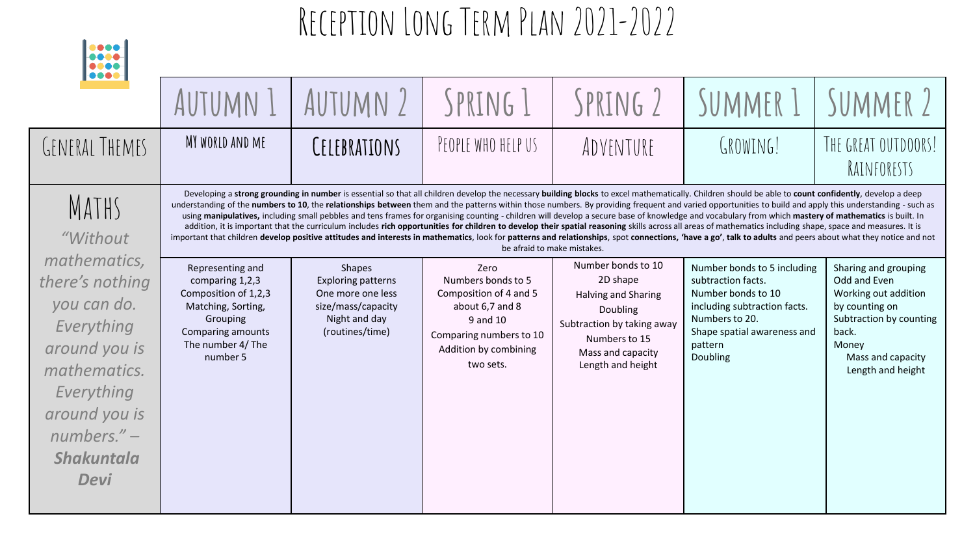| 0000<br>0000<br><b></b>                                                                                                                                                          |                                                                                                                                                     |                                                                                                                           |                                                                                                                                                      |                                                                                                                                                            |                                                                                                                                                                                                                                                                                                                                                                                                                                                                                                                                                                                                                                                                                                                                                                                                                                                                                                                                                                                                                                                           |                                                                                                                                                                       |
|----------------------------------------------------------------------------------------------------------------------------------------------------------------------------------|-----------------------------------------------------------------------------------------------------------------------------------------------------|---------------------------------------------------------------------------------------------------------------------------|------------------------------------------------------------------------------------------------------------------------------------------------------|------------------------------------------------------------------------------------------------------------------------------------------------------------|-----------------------------------------------------------------------------------------------------------------------------------------------------------------------------------------------------------------------------------------------------------------------------------------------------------------------------------------------------------------------------------------------------------------------------------------------------------------------------------------------------------------------------------------------------------------------------------------------------------------------------------------------------------------------------------------------------------------------------------------------------------------------------------------------------------------------------------------------------------------------------------------------------------------------------------------------------------------------------------------------------------------------------------------------------------|-----------------------------------------------------------------------------------------------------------------------------------------------------------------------|
|                                                                                                                                                                                  | AUTUMN 1                                                                                                                                            | AUTUMN 2                                                                                                                  | SPRING 1                                                                                                                                             | SPRING 2                                                                                                                                                   | SUMMER 1                                                                                                                                                                                                                                                                                                                                                                                                                                                                                                                                                                                                                                                                                                                                                                                                                                                                                                                                                                                                                                                  | SUMMER 2                                                                                                                                                              |
| GENERAL THEMES                                                                                                                                                                   | MY WORLD AND ME                                                                                                                                     | CELEBRATIONS                                                                                                              | PEOPLE WHO HELP US                                                                                                                                   | ADVENTURE                                                                                                                                                  | GROWING!                                                                                                                                                                                                                                                                                                                                                                                                                                                                                                                                                                                                                                                                                                                                                                                                                                                                                                                                                                                                                                                  | THE GREAT OUTDOORS!<br>RAINFORESTS                                                                                                                                    |
| MATHS<br>"Without                                                                                                                                                                |                                                                                                                                                     |                                                                                                                           |                                                                                                                                                      | be afraid to make mistakes.                                                                                                                                | Developing a strong grounding in number is essential so that all children develop the necessary building blocks to excel mathematically. Children should be able to count confidently, develop a deep<br>understanding of the numbers to 10, the relationships between them and the patterns within those numbers. By providing frequent and varied opportunities to build and apply this understanding - such as<br>using manipulatives, including small pebbles and tens frames for organising counting - children will develop a secure base of knowledge and vocabulary from which mastery of mathematics is built. In<br>addition, it is important that the curriculum includes rich opportunities for children to develop their spatial reasoning skills across all areas of mathematics including shape, space and measures. It is<br>important that children develop positive attitudes and interests in mathematics, look for patterns and relationships, spot connections, 'have a go', talk to adults and peers about what they notice and not |                                                                                                                                                                       |
| mathematics,<br>there's nothing<br>you can do.<br>Everything<br>around you is<br>mathematics.<br>Everything<br>around you is<br>$numbers. -$<br><b>Shakuntala</b><br><b>Devi</b> | Representing and<br>comparing 1,2,3<br>Composition of 1,2,3<br>Matching, Sorting,<br>Grouping<br>Comparing amounts<br>The number 4/ The<br>number 5 | <b>Shapes</b><br><b>Exploring patterns</b><br>One more one less<br>size/mass/capacity<br>Night and day<br>(routines/time) | Zero<br>Numbers bonds to 5<br>Composition of 4 and 5<br>about 6,7 and 8<br>9 and 10<br>Comparing numbers to 10<br>Addition by combining<br>two sets. | Number bonds to 10<br>2D shape<br>Halving and Sharing<br>Doubling<br>Subtraction by taking away<br>Numbers to 15<br>Mass and capacity<br>Length and height | Number bonds to 5 including<br>subtraction facts.<br>Number bonds to 10<br>including subtraction facts.<br>Numbers to 20.<br>Shape spatial awareness and<br>pattern<br>Doubling                                                                                                                                                                                                                                                                                                                                                                                                                                                                                                                                                                                                                                                                                                                                                                                                                                                                           | Sharing and grouping<br>Odd and Even<br>Working out addition<br>by counting on<br>Subtraction by counting<br>back.<br>Money<br>Mass and capacity<br>Length and height |

**Longell**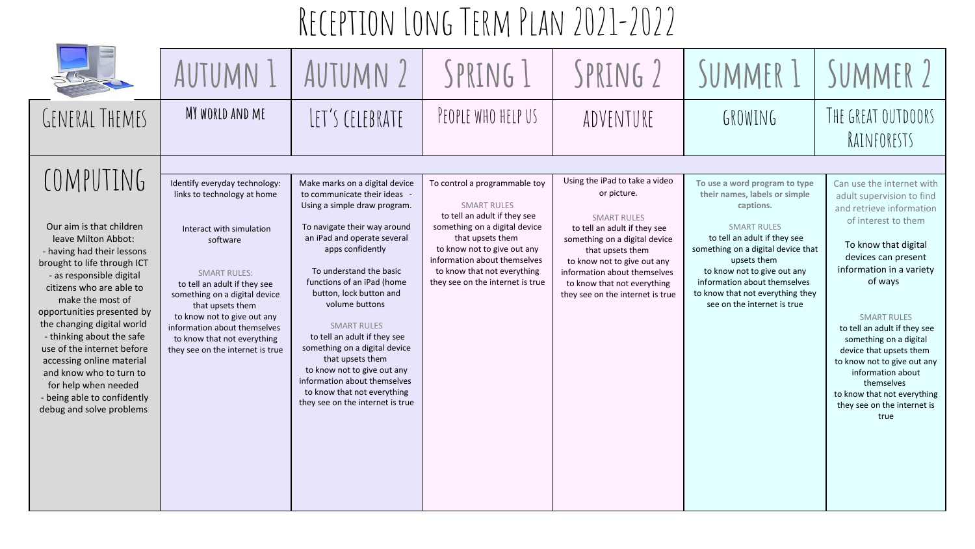|                                                                                                                                                                                                                                                                                                                                                                                                                                                                         | AUTUMN 1                                                                                                                                                                                                                                                                                                                                           | AUTUMN 2                                                                                                                                                                                                                                                                                                                                                                                                                                                                                                                             | SPRING 1                                                                                                                                                                                                                                                                   | SPRING 2                                                                                                                                                                                                                                                                                   | SUMMER 1                                                                                                                                                                                                                                                                                                                 | SUMMER 2                                                                                                                                                                                                                                                                                                                                                                                                                                           |
|-------------------------------------------------------------------------------------------------------------------------------------------------------------------------------------------------------------------------------------------------------------------------------------------------------------------------------------------------------------------------------------------------------------------------------------------------------------------------|----------------------------------------------------------------------------------------------------------------------------------------------------------------------------------------------------------------------------------------------------------------------------------------------------------------------------------------------------|--------------------------------------------------------------------------------------------------------------------------------------------------------------------------------------------------------------------------------------------------------------------------------------------------------------------------------------------------------------------------------------------------------------------------------------------------------------------------------------------------------------------------------------|----------------------------------------------------------------------------------------------------------------------------------------------------------------------------------------------------------------------------------------------------------------------------|--------------------------------------------------------------------------------------------------------------------------------------------------------------------------------------------------------------------------------------------------------------------------------------------|--------------------------------------------------------------------------------------------------------------------------------------------------------------------------------------------------------------------------------------------------------------------------------------------------------------------------|----------------------------------------------------------------------------------------------------------------------------------------------------------------------------------------------------------------------------------------------------------------------------------------------------------------------------------------------------------------------------------------------------------------------------------------------------|
| GENERAL THEMES                                                                                                                                                                                                                                                                                                                                                                                                                                                          | MY WORLD AND ME                                                                                                                                                                                                                                                                                                                                    | LET'S CELEBRATE                                                                                                                                                                                                                                                                                                                                                                                                                                                                                                                      | PEOPLE WHO HELP US                                                                                                                                                                                                                                                         | ADVENTURE                                                                                                                                                                                                                                                                                  | GROWING                                                                                                                                                                                                                                                                                                                  | THE GREAT OUTDOORS<br>RAINFORESTS                                                                                                                                                                                                                                                                                                                                                                                                                  |
|                                                                                                                                                                                                                                                                                                                                                                                                                                                                         |                                                                                                                                                                                                                                                                                                                                                    |                                                                                                                                                                                                                                                                                                                                                                                                                                                                                                                                      |                                                                                                                                                                                                                                                                            |                                                                                                                                                                                                                                                                                            |                                                                                                                                                                                                                                                                                                                          |                                                                                                                                                                                                                                                                                                                                                                                                                                                    |
| COMPUTING<br>Our aim is that children<br>leave Milton Abbot:<br>- having had their lessons<br>brought to life through ICT<br>- as responsible digital<br>citizens who are able to<br>make the most of<br>opportunities presented by<br>the changing digital world<br>- thinking about the safe<br>use of the internet before<br>accessing online material<br>and know who to turn to<br>for help when needed<br>- being able to confidently<br>debug and solve problems | Identify everyday technology:<br>links to technology at home<br>Interact with simulation<br>software<br><b>SMART RULES:</b><br>to tell an adult if they see<br>something on a digital device<br>that upsets them<br>to know not to give out any<br>information about themselves<br>to know that not everything<br>they see on the internet is true | Make marks on a digital device<br>to communicate their ideas -<br>Using a simple draw program.<br>To navigate their way around<br>an iPad and operate several<br>apps confidently<br>To understand the basic<br>functions of an iPad (home<br>button, lock button and<br>volume buttons<br><b>SMART RULES</b><br>to tell an adult if they see<br>something on a digital device<br>that upsets them<br>to know not to give out any<br>information about themselves<br>to know that not everything<br>they see on the internet is true | To control a programmable toy<br><b>SMART RULES</b><br>to tell an adult if they see<br>something on a digital device<br>that upsets them<br>to know not to give out any<br>information about themselves<br>to know that not everything<br>they see on the internet is true | Using the iPad to take a video<br>or picture.<br><b>SMART RULES</b><br>to tell an adult if they see<br>something on a digital device<br>that upsets them<br>to know not to give out any<br>information about themselves<br>to know that not everything<br>they see on the internet is true | To use a word program to type<br>their names, labels or simple<br>captions.<br><b>SMART RULES</b><br>to tell an adult if they see<br>something on a digital device that<br>upsets them<br>to know not to give out any<br>information about themselves<br>to know that not everything they<br>see on the internet is true | Can use the internet with<br>adult supervision to find<br>and retrieve information<br>of interest to them<br>To know that digital<br>devices can present<br>information in a variety<br>of ways<br><b>SMART RULES</b><br>to tell an adult if they see<br>something on a digital<br>device that upsets them<br>to know not to give out any<br>information about<br>themselves<br>to know that not everything<br>they see on the internet is<br>true |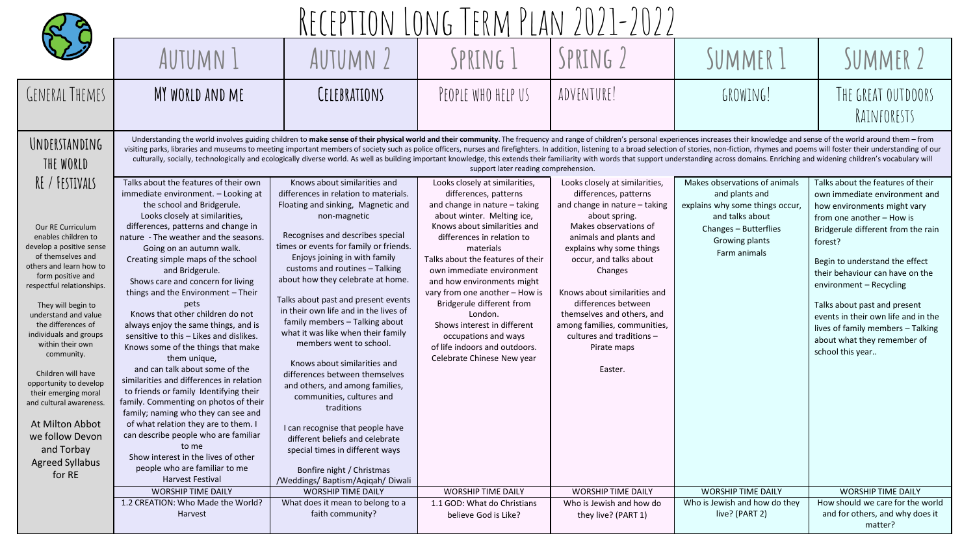|                                                                                                                                                                                                                                                                                                                                                                                                                                                                                                                            | ERM PLAN                                                                                                                                                                                                                                                                                                                                                                                                                                                                                                                                                                                                                                                                                                                                                                                                                                                                                                                                                                              |                                                                                                                                                                                                                                                                                                                                                                                                                                                                                                                                                                                                                                                                                                                                                                                                                                  |                                                                                                                                                                                                                                                                                                                                                                                                                                                                                                     |                                                                                                                                                                                                                                                                                                                                                                                                             |                                                                                                                                                                  |                                                                                                                                                                                                                                                                                                                                                                                                                                                |  |  |
|----------------------------------------------------------------------------------------------------------------------------------------------------------------------------------------------------------------------------------------------------------------------------------------------------------------------------------------------------------------------------------------------------------------------------------------------------------------------------------------------------------------------------|---------------------------------------------------------------------------------------------------------------------------------------------------------------------------------------------------------------------------------------------------------------------------------------------------------------------------------------------------------------------------------------------------------------------------------------------------------------------------------------------------------------------------------------------------------------------------------------------------------------------------------------------------------------------------------------------------------------------------------------------------------------------------------------------------------------------------------------------------------------------------------------------------------------------------------------------------------------------------------------|----------------------------------------------------------------------------------------------------------------------------------------------------------------------------------------------------------------------------------------------------------------------------------------------------------------------------------------------------------------------------------------------------------------------------------------------------------------------------------------------------------------------------------------------------------------------------------------------------------------------------------------------------------------------------------------------------------------------------------------------------------------------------------------------------------------------------------|-----------------------------------------------------------------------------------------------------------------------------------------------------------------------------------------------------------------------------------------------------------------------------------------------------------------------------------------------------------------------------------------------------------------------------------------------------------------------------------------------------|-------------------------------------------------------------------------------------------------------------------------------------------------------------------------------------------------------------------------------------------------------------------------------------------------------------------------------------------------------------------------------------------------------------|------------------------------------------------------------------------------------------------------------------------------------------------------------------|------------------------------------------------------------------------------------------------------------------------------------------------------------------------------------------------------------------------------------------------------------------------------------------------------------------------------------------------------------------------------------------------------------------------------------------------|--|--|
|                                                                                                                                                                                                                                                                                                                                                                                                                                                                                                                            | AUTUMN 1                                                                                                                                                                                                                                                                                                                                                                                                                                                                                                                                                                                                                                                                                                                                                                                                                                                                                                                                                                              | <b>AUTUMN 2</b>                                                                                                                                                                                                                                                                                                                                                                                                                                                                                                                                                                                                                                                                                                                                                                                                                  | SPRING 1                                                                                                                                                                                                                                                                                                                                                                                                                                                                                            | SPRING 2                                                                                                                                                                                                                                                                                                                                                                                                    | SUMMER 1                                                                                                                                                         | SUMMER 2                                                                                                                                                                                                                                                                                                                                                                                                                                       |  |  |
| GENERAL THEMES                                                                                                                                                                                                                                                                                                                                                                                                                                                                                                             | MY WORLD AND ME                                                                                                                                                                                                                                                                                                                                                                                                                                                                                                                                                                                                                                                                                                                                                                                                                                                                                                                                                                       | CELEBRATIONS                                                                                                                                                                                                                                                                                                                                                                                                                                                                                                                                                                                                                                                                                                                                                                                                                     | PEOPLE WHO HELP US                                                                                                                                                                                                                                                                                                                                                                                                                                                                                  | ADVENTURE!                                                                                                                                                                                                                                                                                                                                                                                                  | GROWING!                                                                                                                                                         | THE GREAT OUTDOORS<br>RAINFORESTS                                                                                                                                                                                                                                                                                                                                                                                                              |  |  |
| UNDERSTANDING<br>THE WORLD                                                                                                                                                                                                                                                                                                                                                                                                                                                                                                 | Understanding the world involves guiding children to make sense of their physical world and their community. The frequency and range of children's personal experiences increases their knowledge and sense of the world aroun<br>visiting parks, libraries and museums to meeting important members of society such as police officers, nurses and firefighters. In addition, listening to a broad selection of stories, non-fiction, rhymes and poems will fos<br>culturally, socially, technologically and ecologically diverse world. As well as building important knowledge, this extends their familiarity with words that support understanding across domains. Enriching and widening chi<br>support later reading comprehension.                                                                                                                                                                                                                                            |                                                                                                                                                                                                                                                                                                                                                                                                                                                                                                                                                                                                                                                                                                                                                                                                                                  |                                                                                                                                                                                                                                                                                                                                                                                                                                                                                                     |                                                                                                                                                                                                                                                                                                                                                                                                             |                                                                                                                                                                  |                                                                                                                                                                                                                                                                                                                                                                                                                                                |  |  |
| RE / FESTIVALS<br>Our RE Curriculum<br>enables children to<br>develop a positive sense<br>of themselves and<br>others and learn how to<br>form positive and<br>respectful relationships.<br>They will begin to<br>understand and value<br>the differences of<br>individuals and groups<br>within their own<br>community.<br>Children will have<br>opportunity to develop<br>their emerging moral<br>and cultural awareness.<br><b>At Milton Abbot</b><br>we follow Devon<br>and Torbay<br><b>Agreed Syllabus</b><br>for RE | Talks about the features of their own<br>immediate environment. - Looking at<br>the school and Bridgerule.<br>Looks closely at similarities,<br>differences, patterns and change in<br>nature - The weather and the seasons.<br>Going on an autumn walk.<br>Creating simple maps of the school<br>and Bridgerule.<br>Shows care and concern for living<br>things and the Environment - Their<br>pets<br>Knows that other children do not<br>always enjoy the same things, and is<br>sensitive to this - Likes and dislikes.<br>Knows some of the things that make<br>them unique,<br>and can talk about some of the<br>similarities and differences in relation<br>to friends or family Identifying their<br>family. Commenting on photos of their<br>family; naming who they can see and<br>of what relation they are to them. I<br>can describe people who are familiar<br>to me<br>Show interest in the lives of other<br>people who are familiar to me<br><b>Harvest Festival</b> | Knows about similarities and<br>differences in relation to materials.<br>Floating and sinking, Magnetic and<br>non-magnetic<br>Recognises and describes special<br>times or events for family or friends.<br>Enjoys joining in with family<br>customs and routines - Talking<br>about how they celebrate at home.<br>Talks about past and present events<br>in their own life and in the lives of<br>family members - Talking about<br>what it was like when their family<br>members went to school.<br>Knows about similarities and<br>differences between themselves<br>and others, and among families,<br>communities, cultures and<br>traditions<br>I can recognise that people have<br>different beliefs and celebrate<br>special times in different ways<br>Bonfire night / Christmas<br>/Weddings/ Baptism/Aqiqah/ Diwali | Looks closely at similarities,<br>differences, patterns<br>and change in nature $-$ taking<br>about winter. Melting ice,<br>Knows about similarities and<br>differences in relation to<br>materials<br>Talks about the features of their<br>own immediate environment<br>and how environments might<br>vary from one another - How is<br>Bridgerule different from<br>London.<br>Shows interest in different<br>occupations and ways<br>of life indoors and outdoors.<br>Celebrate Chinese New year | Looks closely at similarities,<br>differences, patterns<br>and change in nature $-$ taking<br>about spring.<br>Makes observations of<br>animals and plants and<br>explains why some things<br>occur, and talks about<br>Changes<br>Knows about similarities and<br>differences between<br>themselves and others, and<br>among families, communities,<br>cultures and traditions -<br>Pirate maps<br>Easter. | Makes observations of animals<br>and plants and<br>explains why some things occur,<br>and talks about<br>Changes - Butterflies<br>Growing plants<br>Farm animals | Talks about the features of their<br>own immediate environment and<br>how environments might vary<br>from one another - How is<br>Bridgerule different from the rain<br>forest?<br>Begin to understand the effect<br>their behaviour can have on the<br>environment - Recycling<br>Talks about past and present<br>events in their own life and in the<br>lives of family members - Talking<br>about what they remember of<br>school this year |  |  |
|                                                                                                                                                                                                                                                                                                                                                                                                                                                                                                                            | <b>WORSHIP TIME DAILY</b><br>1.2 CREATION: Who Made the World?                                                                                                                                                                                                                                                                                                                                                                                                                                                                                                                                                                                                                                                                                                                                                                                                                                                                                                                        | <b>WORSHIP TIME DAILY</b><br>What does it mean to belong to a                                                                                                                                                                                                                                                                                                                                                                                                                                                                                                                                                                                                                                                                                                                                                                    | <b>WORSHIP TIME DAILY</b><br>1.1 GOD: What do Christians                                                                                                                                                                                                                                                                                                                                                                                                                                            | <b>WORSHIP TIME DAILY</b><br>Who is Jewish and how do                                                                                                                                                                                                                                                                                                                                                       | <b>WORSHIP TIME DAILY</b><br>Who is Jewish and how do they                                                                                                       | <b>WORSHIP TIME DAILY</b><br>How should we care for the world                                                                                                                                                                                                                                                                                                                                                                                  |  |  |
|                                                                                                                                                                                                                                                                                                                                                                                                                                                                                                                            | Harvest                                                                                                                                                                                                                                                                                                                                                                                                                                                                                                                                                                                                                                                                                                                                                                                                                                                                                                                                                                               | faith community?                                                                                                                                                                                                                                                                                                                                                                                                                                                                                                                                                                                                                                                                                                                                                                                                                 | believe God is Like?                                                                                                                                                                                                                                                                                                                                                                                                                                                                                | they live? (PART 1)                                                                                                                                                                                                                                                                                                                                                                                         | live? (PART 2)                                                                                                                                                   | and for others, and why does it<br>matter?                                                                                                                                                                                                                                                                                                                                                                                                     |  |  |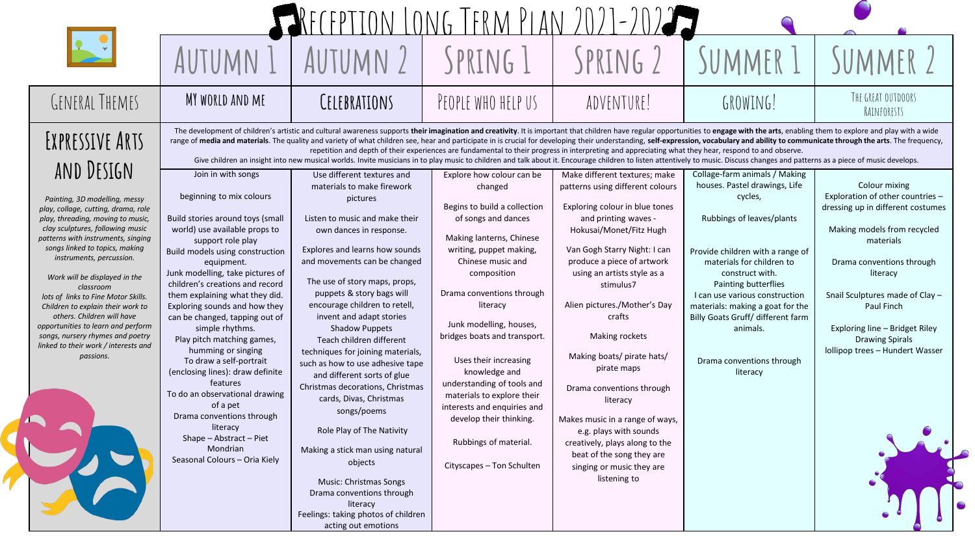|                                                                                                                                                                                                                                                                        |                                                                                                                                                                                                                                                                                                                                                                                                                                                                                                                                                                                                                                                                                                                                                                                                                                                                                          |                                                                                                                                                                                                                                                                | IONG TERM PIAN                                                                                                                                                                                                     |                                                                                                                                                                                                                                             |                                                                                                                                                                         |                                                                                                                                                                 |  |
|------------------------------------------------------------------------------------------------------------------------------------------------------------------------------------------------------------------------------------------------------------------------|------------------------------------------------------------------------------------------------------------------------------------------------------------------------------------------------------------------------------------------------------------------------------------------------------------------------------------------------------------------------------------------------------------------------------------------------------------------------------------------------------------------------------------------------------------------------------------------------------------------------------------------------------------------------------------------------------------------------------------------------------------------------------------------------------------------------------------------------------------------------------------------|----------------------------------------------------------------------------------------------------------------------------------------------------------------------------------------------------------------------------------------------------------------|--------------------------------------------------------------------------------------------------------------------------------------------------------------------------------------------------------------------|---------------------------------------------------------------------------------------------------------------------------------------------------------------------------------------------------------------------------------------------|-------------------------------------------------------------------------------------------------------------------------------------------------------------------------|-----------------------------------------------------------------------------------------------------------------------------------------------------------------|--|
|                                                                                                                                                                                                                                                                        | AUTUMN                                                                                                                                                                                                                                                                                                                                                                                                                                                                                                                                                                                                                                                                                                                                                                                                                                                                                   | AUTUMN                                                                                                                                                                                                                                                         | SPRING 1                                                                                                                                                                                                           | SPRING 2                                                                                                                                                                                                                                    | SUMMER 1                                                                                                                                                                | SUMMER <sub>2</sub>                                                                                                                                             |  |
| <b>GENERAL THEMES</b>                                                                                                                                                                                                                                                  | MY WORLD AND ME                                                                                                                                                                                                                                                                                                                                                                                                                                                                                                                                                                                                                                                                                                                                                                                                                                                                          | CELEBRATIONS                                                                                                                                                                                                                                                   | PEOPLE WHO HELP US                                                                                                                                                                                                 | ADVENTURE!                                                                                                                                                                                                                                  | GROWING!                                                                                                                                                                | THE GREAT OUTDOORS<br>RAINFORESTS                                                                                                                               |  |
| EXPRESSIVE ARTS<br>AND DESIGN                                                                                                                                                                                                                                          | The development of children's artistic and cultural awareness supports their imagination and creativity. It is important that children have regular opportunities to engage with the arts, enabling them to explore and play w<br>range of media and materials. The quality and variety of what children see, hear and participate in is crucial for developing their understanding, self-expression, vocabulary and ability to communicate through the arts. Th<br>repetition and depth of their experiences are fundamental to their progress in interpreting and appreciating what they hear, respond to and observe.<br>Give children an insight into new musical worlds. Invite musicians in to play music to children and talk about it. Encourage children to listen attentively to music. Discuss changes and patterns as a piece of music develop<br>Use different textures and |                                                                                                                                                                                                                                                                |                                                                                                                                                                                                                    |                                                                                                                                                                                                                                             |                                                                                                                                                                         |                                                                                                                                                                 |  |
| Painting, 3D modelling, messy<br>play, collage, cutting, drama, role<br>play, threading, moving to music,<br>clay sculptures, following music<br>patterns with instruments, singing<br>songs linked to topics, making<br>instruments, percussion.                      | Join in with songs<br>beginning to mix colours<br>Build stories around toys (small<br>world) use available props to<br>support role play<br>Build models using construction<br>equipment.                                                                                                                                                                                                                                                                                                                                                                                                                                                                                                                                                                                                                                                                                                | materials to make firework<br>pictures<br>Listen to music and make their<br>own dances in response.<br>Explores and learns how sounds<br>and movements can be changed                                                                                          | Explore how colour can be<br>changed<br>Begins to build a collection<br>of songs and dances<br>Making lanterns, Chinese<br>writing, puppet making,<br>Chinese music and                                            | Make different textures; make<br>patterns using different colours<br>Exploring colour in blue tones<br>and printing waves -<br>Hokusai/Monet/Fitz Hugh<br>Van Gogh Starry Night: I can<br>produce a piece of artwork                        | Collage-farm animals / Making<br>houses. Pastel drawings, Life<br>cycles,<br>Rubbings of leaves/plants<br>Provide children with a range of<br>materials for children to | Colour mixing<br>Exploration of other countries -<br>dressing up in different costumes<br>Making models from recycled<br>materials<br>Drama conventions through |  |
| Work will be displayed in the<br>classroom<br>lots of links to Fine Motor Skills.<br>Children to explain their work to<br>others. Children will have<br>opportunities to learn and perform<br>songs, nursery rhymes and poetry<br>linked to their work / interests and | Junk modelling, take pictures of<br>children's creations and record<br>them explaining what they did.<br>Exploring sounds and how they<br>can be changed, tapping out of<br>simple rhythms.<br>Play pitch matching games,<br>humming or singing                                                                                                                                                                                                                                                                                                                                                                                                                                                                                                                                                                                                                                          | The use of story maps, props,<br>puppets & story bags will<br>encourage children to retell,<br>invent and adapt stories<br><b>Shadow Puppets</b><br>Teach children different                                                                                   | composition<br>Drama conventions through<br>literacy<br>Junk modelling, houses,<br>bridges boats and transport.                                                                                                    | using an artists style as a<br>stimulus7<br>Alien pictures./Mother's Day<br>crafts<br>Making rockets                                                                                                                                        | construct with.<br>Painting butterflies<br>I can use various construction<br>materials: making a goat for the<br>Billy Goats Gruff/ different farm<br>animals.          | literacy<br>Snail Sculptures made of Clay -<br>Paul Finch<br>Exploring line - Bridget Riley<br><b>Drawing Spirals</b><br>Iollipop trees - Hundert Wasser        |  |
| passions.                                                                                                                                                                                                                                                              | To draw a self-portrait<br>(enclosing lines): draw definite<br>features<br>To do an observational drawing<br>of a pet<br>Drama conventions through<br>literacy<br>Shape - Abstract - Piet<br>Mondrian<br>Seasonal Colours - Oria Kiely                                                                                                                                                                                                                                                                                                                                                                                                                                                                                                                                                                                                                                                   | techniques for joining materials,<br>such as how to use adhesive tape<br>and different sorts of glue<br>Christmas decorations, Christmas<br>cards, Divas, Christmas<br>songs/poems<br>Role Play of The Nativity<br>Making a stick man using natural<br>objects | Uses their increasing<br>knowledge and<br>understanding of tools and<br>materials to explore their<br>interests and enquiries and<br>develop their thinking.<br>Rubbings of material.<br>Cityscapes - Ton Schulten | Making boats/ pirate hats/<br>pirate maps<br>Drama conventions through<br>literacy<br>Makes music in a range of ways,<br>e.g. plays with sounds<br>creatively, plays along to the<br>beat of the song they are<br>singing or music they are | Drama conventions through<br>literacy                                                                                                                                   |                                                                                                                                                                 |  |
|                                                                                                                                                                                                                                                                        |                                                                                                                                                                                                                                                                                                                                                                                                                                                                                                                                                                                                                                                                                                                                                                                                                                                                                          | Music: Christmas Songs<br>Drama conventions through<br>literacy<br>Feelings: taking photos of children<br>acting out emotions                                                                                                                                  |                                                                                                                                                                                                                    | listening to                                                                                                                                                                                                                                |                                                                                                                                                                         |                                                                                                                                                                 |  |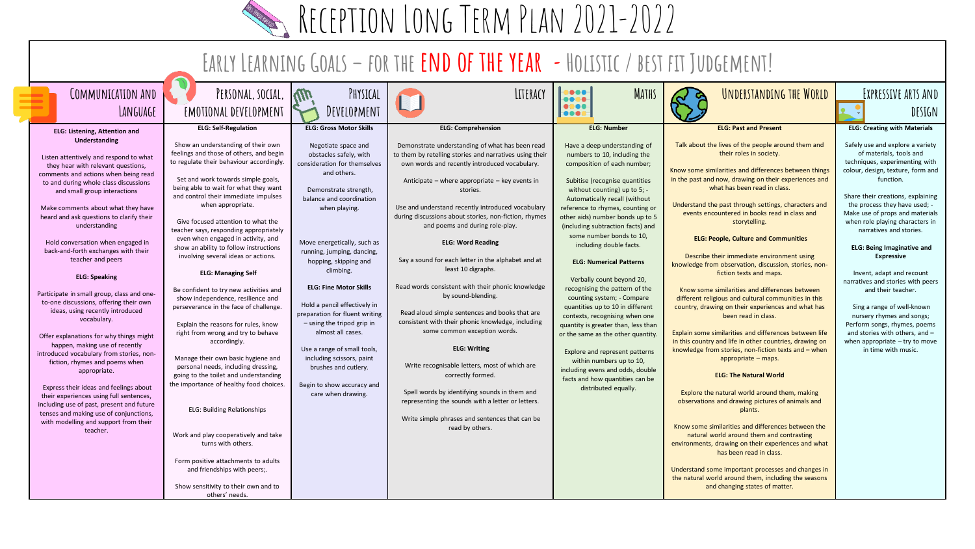RECEPTION LONG TERM PLAN 2021-2022

#### **Early Learning Goals – for the end of the year -Holistic / best fit Judgement!**

| COMMUNICATION AND<br>LANGUAGE                                                                                                                                                                                                                                                                                                                                                                                                                                                                                                                                                                                                                                                                                                                                                                                                                                                                                                                                                                                                             | PERSONAL, SOCIAL,<br>EMOTIONAL DEVELOPMENT                                                                                                                                                                                                                                                                                                                                                                                                                                                                                                                                                                                                                                                                                                                                                                                                                                                                                                                                                                                                                                                                                                                           | $\mathcal{W}$<br>PHYSICAL<br>DEVELOPMENT                                                                                                                                                                                                                                                                                                                                                                                                                                                                                                                                                               | LITERACY                                                                                                                                                                                                                                                                                                                                                                                                                                                                                                                                                                                                                                                                                                                                                                                                                                                                                                                                                                                                  | <b>MATHS</b><br><br>$\begin{array}{ccccc}\n\bullet & \bullet & \bullet & \bullet & \bullet & \bullet\n\end{array}$<br>                                                                                                                                                                                                                                                                                                                                                                                                                                                                                                                                                                                                                                                                                                                     | UNDERSTANDING THE WORLD                                                                                                                                                                                                                                                                                                                                                                                                                                                                                                                                                                                                                                                                                                                                                                                                                                                                                                                                                                                                                                                                                                                                                                                                                                                                                                                                                                                                                                     | EXPRESSIVE ARTS AND<br>DESIGN                                                                                                                                                                                                                                                                                                                                                                                                                                                                                                                                                                                                                                                                           |
|-------------------------------------------------------------------------------------------------------------------------------------------------------------------------------------------------------------------------------------------------------------------------------------------------------------------------------------------------------------------------------------------------------------------------------------------------------------------------------------------------------------------------------------------------------------------------------------------------------------------------------------------------------------------------------------------------------------------------------------------------------------------------------------------------------------------------------------------------------------------------------------------------------------------------------------------------------------------------------------------------------------------------------------------|----------------------------------------------------------------------------------------------------------------------------------------------------------------------------------------------------------------------------------------------------------------------------------------------------------------------------------------------------------------------------------------------------------------------------------------------------------------------------------------------------------------------------------------------------------------------------------------------------------------------------------------------------------------------------------------------------------------------------------------------------------------------------------------------------------------------------------------------------------------------------------------------------------------------------------------------------------------------------------------------------------------------------------------------------------------------------------------------------------------------------------------------------------------------|--------------------------------------------------------------------------------------------------------------------------------------------------------------------------------------------------------------------------------------------------------------------------------------------------------------------------------------------------------------------------------------------------------------------------------------------------------------------------------------------------------------------------------------------------------------------------------------------------------|-----------------------------------------------------------------------------------------------------------------------------------------------------------------------------------------------------------------------------------------------------------------------------------------------------------------------------------------------------------------------------------------------------------------------------------------------------------------------------------------------------------------------------------------------------------------------------------------------------------------------------------------------------------------------------------------------------------------------------------------------------------------------------------------------------------------------------------------------------------------------------------------------------------------------------------------------------------------------------------------------------------|--------------------------------------------------------------------------------------------------------------------------------------------------------------------------------------------------------------------------------------------------------------------------------------------------------------------------------------------------------------------------------------------------------------------------------------------------------------------------------------------------------------------------------------------------------------------------------------------------------------------------------------------------------------------------------------------------------------------------------------------------------------------------------------------------------------------------------------------|-------------------------------------------------------------------------------------------------------------------------------------------------------------------------------------------------------------------------------------------------------------------------------------------------------------------------------------------------------------------------------------------------------------------------------------------------------------------------------------------------------------------------------------------------------------------------------------------------------------------------------------------------------------------------------------------------------------------------------------------------------------------------------------------------------------------------------------------------------------------------------------------------------------------------------------------------------------------------------------------------------------------------------------------------------------------------------------------------------------------------------------------------------------------------------------------------------------------------------------------------------------------------------------------------------------------------------------------------------------------------------------------------------------------------------------------------------------|---------------------------------------------------------------------------------------------------------------------------------------------------------------------------------------------------------------------------------------------------------------------------------------------------------------------------------------------------------------------------------------------------------------------------------------------------------------------------------------------------------------------------------------------------------------------------------------------------------------------------------------------------------------------------------------------------------|
| <b>ELG: Listening, Attention and</b><br>Understanding<br>Listen attentively and respond to what<br>they hear with relevant questions,<br>comments and actions when being read<br>to and during whole class discussions<br>and small group interactions<br>Make comments about what they have<br>heard and ask questions to clarify their<br>understanding<br>Hold conversation when engaged in<br>back-and-forth exchanges with their<br>teacher and peers<br><b>ELG: Speaking</b><br>Participate in small group, class and one-<br>to-one discussions, offering their own<br>ideas, using recently introduced<br>vocabulary.<br>Offer explanations for why things might<br>happen, making use of recently<br>introduced vocabulary from stories, non-<br>fiction, rhymes and poems when<br>appropriate.<br>Express their ideas and feelings about<br>their experiences using full sentences,<br>including use of past, present and future<br>tenses and making use of conjunctions,<br>with modelling and support from their<br>teacher. | <b>ELG: Self-Regulation</b><br>Show an understanding of their own<br>feelings and those of others, and begin<br>to regulate their behaviour accordingly.<br>Set and work towards simple goals,<br>being able to wait for what they want<br>and control their immediate impulses<br>when appropriate.<br>Give focused attention to what the<br>teacher says, responding appropriately<br>even when engaged in activity, and<br>show an ability to follow instructions<br>involving several ideas or actions.<br><b>ELG: Managing Self</b><br>Be confident to try new activities and<br>show independence, resilience and<br>perseverance in the face of challenge.<br>Explain the reasons for rules, know<br>right from wrong and try to behave<br>accordingly.<br>Manage their own basic hygiene and<br>personal needs, including dressing,<br>going to the toilet and understanding<br>the importance of healthy food choices.<br><b>ELG: Building Relationships</b><br>Work and play cooperatively and take<br>turns with others.<br>Form positive attachments to adults<br>and friendships with peers;.<br>Show sensitivity to their own and to<br>others' needs. | <b>ELG: Gross Motor Skills</b><br>Negotiate space and<br>obstacles safely, with<br>consideration for themselves<br>and others.<br>Demonstrate strength<br>balance and coordination<br>when playing.<br>Move energetically, such as<br>running, jumping, dancing,<br>hopping, skipping and<br>climbing.<br><b>ELG: Fine Motor Skills</b><br>Hold a pencil effectively in<br>preparation for fluent writing<br>$-$ using the tripod grip in<br>almost all cases.<br>Use a range of small tools,<br>including scissors, paint<br>brushes and cutlery.<br>Begin to show accuracy and<br>care when drawing. | <b>ELG: Comprehension</b><br>Demonstrate understanding of what has been read<br>to them by retelling stories and narratives using their<br>own words and recently introduced vocabulary.<br>Anticipate - where appropriate - key events in<br>stories.<br>Use and understand recently introduced vocabulary<br>during discussions about stories, non-fiction, rhymes<br>and poems and during role-play.<br><b>ELG: Word Reading</b><br>Say a sound for each letter in the alphabet and at<br>least 10 digraphs.<br>Read words consistent with their phonic knowledge<br>by sound-blending.<br>Read aloud simple sentences and books that are<br>consistent with their phonic knowledge, including<br>some common exception words.<br><b>ELG: Writing</b><br>Write recognisable letters, most of which are<br>correctly formed.<br>Spell words by identifying sounds in them and<br>representing the sounds with a letter or letters.<br>Write simple phrases and sentences that can be<br>read by others. | <b>ELG: Number</b><br>Have a deep understanding of<br>numbers to 10, including the<br>composition of each number;<br>Subitise (recognise quantities<br>without counting) up to $5$ ; -<br>Automatically recall (without<br>reference to rhymes, counting or<br>other aids) number bonds up to 5<br>(including subtraction facts) and<br>some number bonds to 10.<br>including double facts.<br><b>ELG: Numerical Patterns</b><br>Verbally count beyond 20,<br>recognising the pattern of the<br>counting system; - Compare<br>quantities up to 10 in different<br>contexts, recognising when one<br>quantity is greater than, less than<br>or the same as the other quantity.<br>Explore and represent patterns<br>within numbers up to 10,<br>including evens and odds, double<br>facts and how quantities can be<br>distributed equally. | <b>ELG: Past and Present</b><br>Talk about the lives of the people around them and<br>their roles in society.<br>Know some similarities and differences between things<br>in the past and now, drawing on their experiences and<br>what has been read in class.<br>Understand the past through settings, characters and<br>events encountered in books read in class and<br>storytelling.<br><b>ELG: People, Culture and Communities</b><br>Describe their immediate environment using<br>knowledge from observation, discussion, stories, non-<br>fiction texts and maps.<br>Know some similarities and differences between<br>different religious and cultural communities in this<br>country, drawing on their experiences and what has<br>been read in class.<br>Explain some similarities and differences between life<br>in this country and life in other countries, drawing on<br>knowledge from stories, non-fiction texts and - when<br>appropriate - maps.<br><b>ELG: The Natural World</b><br>Explore the natural world around them, making<br>observations and drawing pictures of animals and<br>plants.<br>Know some similarities and differences between the<br>natural world around them and contrasting<br>environments, drawing on their experiences and what<br>has been read in class.<br>Understand some important processes and changes in<br>the natural world around them, including the seasons<br>and changing states of matter. | <b>ELG: Creating with Materials</b><br>Safely use and explore a variety<br>of materials, tools and<br>techniques, experimenting with<br>colour, design, texture, form and<br>function.<br>Share their creations, explaining<br>the process they have used; -<br>Make use of props and materials<br>when role playing characters in<br>narratives and stories.<br><b>ELG: Being Imaginative and</b><br><b>Expressive</b><br>Invent, adapt and recount<br>narratives and stories with peers<br>and their teacher.<br>Sing a range of well-known<br>nursery rhymes and songs;<br>Perform songs, rhymes, poems<br>and stories with others, and -<br>when appropriate $-$ try to move<br>in time with music. |